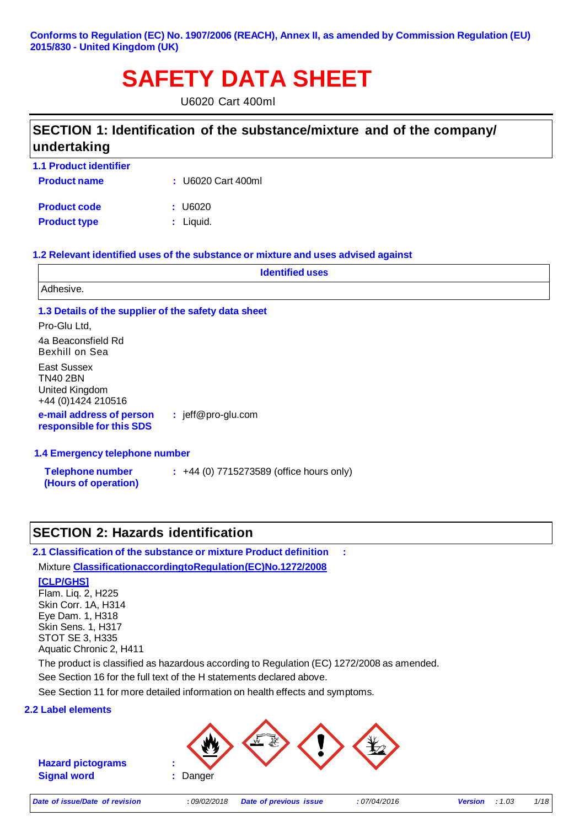#### **Conforms to Regulation (EC) No. 1907/2006 (REACH), Annex II, as amended by Commission Regulation (EU) 2015/830 - United Kingdom (UK)**

# **SAFETY DATA SHEET**

U6020 Cart 400ml

## **SECTION 1: Identification of the substance/mixture and of the company/ undertaking**

| <b>1.1 Product identifier</b> |                    |
|-------------------------------|--------------------|
| <b>Product name</b>           | : U6020 Cart 400ml |
| <b>Product code</b>           | : U6020            |
| <b>Product type</b>           | $:$ Liquid.        |

#### **1.2 Relevant identified uses of the substance or mixture and uses advised against**

|                                                                         | <b>Identified uses</b>                       |
|-------------------------------------------------------------------------|----------------------------------------------|
| Adhesive.                                                               |                                              |
| 1.3 Details of the supplier of the safety data sheet                    |                                              |
| Pro-Glu Ltd,                                                            |                                              |
| 4a Beaconsfield Rd<br><b>Bexhill on Sea</b>                             |                                              |
| East Sussex<br><b>TN40 2BN</b><br>United Kingdom<br>+44 (0) 1424 210516 |                                              |
| e-mail address of person<br>responsible for this SDS                    | $:$ jeff@pro-glu.com                         |
| 1.4 Emergency telephone number                                          |                                              |
| <b>Telephone number</b><br>(Hours of operation)                         | $\pm$ +44 (0) 7715273589 (office hours only) |

## **SECTION 2: Hazards identification**

**2.1 Classification of the substance or mixture Product definition :** 

Mixture **ClassificationaccordingtoRegulation(EC)No.1272/2008**

**[CLP/GHS]** Flam. Liq. 2, H225 Skin Corr. 1A, H314 Eye Dam. 1, H318 Skin Sens. 1, H317 STOT SE 3, H335 Aquatic Chronic 2, H411

The product is classified as hazardous according to Regulation (EC) 1272/2008 as amended.

See Section 16 for the full text of the H statements declared above.

See Section 11 for more detailed information on health effects and symptoms.

#### **2.2 Label elements**

**Hazard pictograms : Signal word :** Danger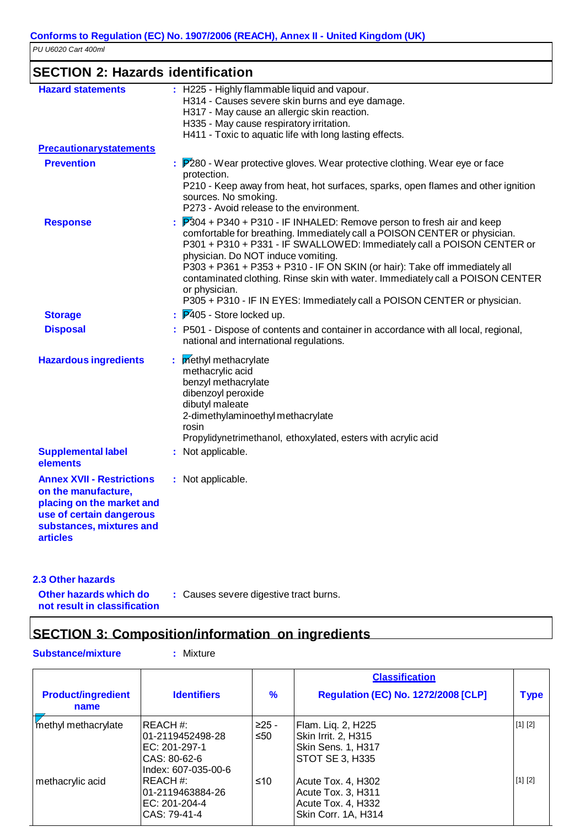| <b>SECTION 2: Hazards identification</b>                                                                                                                        |                                                                                                                                                                                                                                                                                                                                                                                                                                                                                                                                |
|-----------------------------------------------------------------------------------------------------------------------------------------------------------------|--------------------------------------------------------------------------------------------------------------------------------------------------------------------------------------------------------------------------------------------------------------------------------------------------------------------------------------------------------------------------------------------------------------------------------------------------------------------------------------------------------------------------------|
| <b>Hazard statements</b>                                                                                                                                        | : H225 - Highly flammable liquid and vapour.<br>H314 - Causes severe skin burns and eye damage.<br>H317 - May cause an allergic skin reaction.<br>H335 - May cause respiratory irritation.<br>H411 - Toxic to aquatic life with long lasting effects.                                                                                                                                                                                                                                                                          |
| <b>Precautionarystatements</b>                                                                                                                                  |                                                                                                                                                                                                                                                                                                                                                                                                                                                                                                                                |
| <b>Prevention</b>                                                                                                                                               | $\therefore$ $\mathbb{P}280$ - Wear protective gloves. Wear protective clothing. Wear eye or face<br>protection.<br>P210 - Keep away from heat, hot surfaces, sparks, open flames and other ignition<br>sources. No smoking.<br>P273 - Avoid release to the environment.                                                                                                                                                                                                                                                       |
| <b>Response</b>                                                                                                                                                 | P304 + P340 + P310 - IF INHALED: Remove person to fresh air and keep<br>comfortable for breathing. Immediately call a POISON CENTER or physician.<br>P301 + P310 + P331 - IF SWALLOWED: Immediately call a POISON CENTER or<br>physician. Do NOT induce vomiting.<br>P303 + P361 + P353 + P310 - IF ON SKIN (or hair): Take off immediately all<br>contaminated clothing. Rinse skin with water. Immediately call a POISON CENTER<br>or physician.<br>P305 + P310 - IF IN EYES: Immediately call a POISON CENTER or physician. |
| <b>Storage</b>                                                                                                                                                  | P405 - Store locked up.                                                                                                                                                                                                                                                                                                                                                                                                                                                                                                        |
| <b>Disposal</b>                                                                                                                                                 | : P501 - Dispose of contents and container in accordance with all local, regional,<br>national and international regulations.                                                                                                                                                                                                                                                                                                                                                                                                  |
| <b>Hazardous ingredients</b>                                                                                                                                    | methyl methacrylate<br>methacrylic acid<br>benzyl methacrylate<br>dibenzoyl peroxide<br>dibutyl maleate<br>2-dimethylaminoethyl methacrylate<br>rosin<br>Propylidynetrimethanol, ethoxylated, esters with acrylic acid                                                                                                                                                                                                                                                                                                         |
| <b>Supplemental label</b><br>elements                                                                                                                           | : Not applicable.                                                                                                                                                                                                                                                                                                                                                                                                                                                                                                              |
| <b>Annex XVII - Restrictions</b><br>on the manufacture,<br>placing on the market and<br>use of certain dangerous<br>substances, mixtures and<br><b>articles</b> | : Not applicable.                                                                                                                                                                                                                                                                                                                                                                                                                                                                                                              |

| <b>2.3 Other hazards</b>                               |                                        |
|--------------------------------------------------------|----------------------------------------|
| Other hazards which do<br>not result in classification | : Causes severe digestive tract burns. |

## **SECTION 3: Composition/information on ingredients**

**Substance/mixture :** Mixture

|                                   |                                                                                       |               | <b>Classification</b>                                                                 |             |
|-----------------------------------|---------------------------------------------------------------------------------------|---------------|---------------------------------------------------------------------------------------|-------------|
| <b>Product/ingredient</b><br>name | <b>Identifiers</b>                                                                    | $\frac{9}{6}$ | <b>Regulation (EC) No. 1272/2008 [CLP]</b>                                            | <b>Type</b> |
| methyl methacrylate               | IREACH #:<br>01-2119452498-28<br>EC: 201-297-1<br>CAS: 80-62-6<br>Index: 607-035-00-6 | ≥25 -<br>≤50  | Flam. Liq. 2, H225<br>Skin Irrit. 2, H315<br>Skin Sens. 1, H317<br>STOT SE 3, H335    | [1] [2]     |
| methacrylic acid                  | IREACH #:<br>01-2119463884-26<br>EC: 201-204-4<br>CAS: 79-41-4                        | ≤10           | Acute Tox. 4, H302<br>Acute Tox. 3, H311<br>Acute Tox. 4, H332<br>Skin Corr. 1A, H314 | $[1]$ $[2]$ |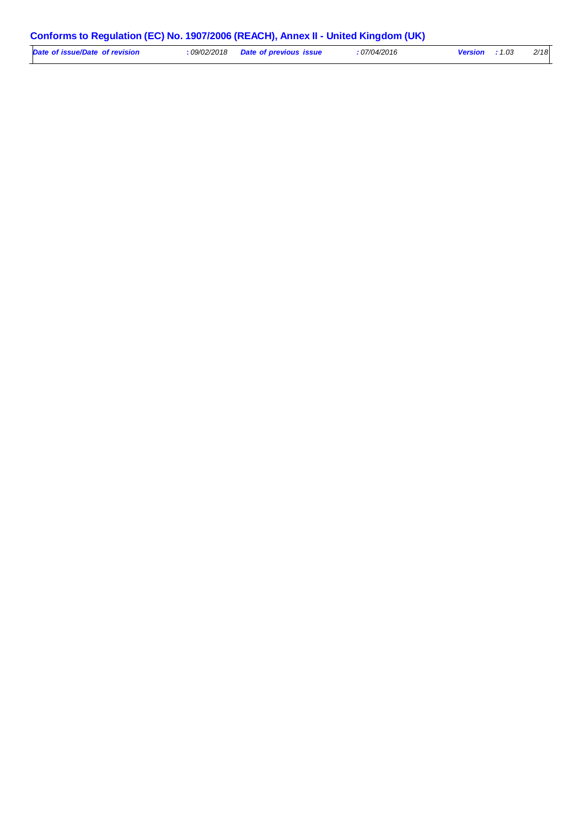*Date of issue/Date of revision* **:** *09/02/2018 Date of previous issue : 07/04/2016 Version : 1.03 2/18*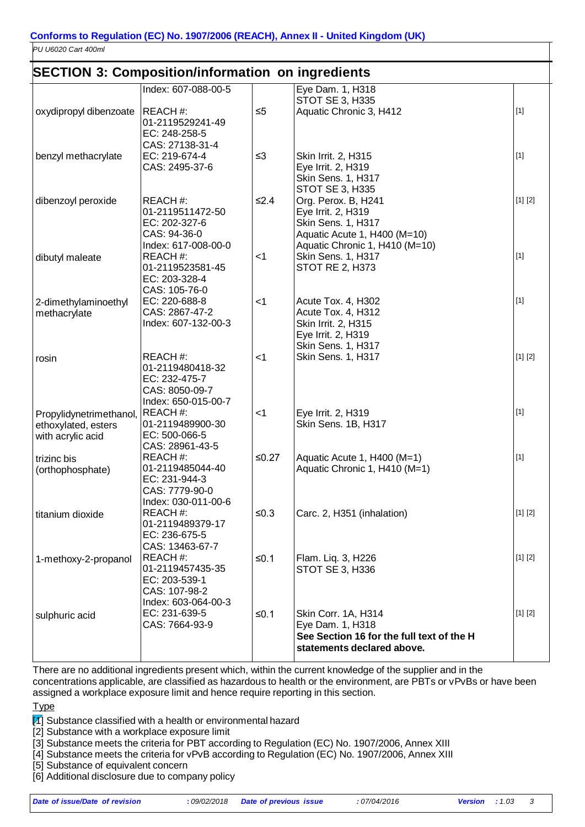## **SECTION 3: Composition/information on ingredients**

|                         | $5 - 0.001$                          |            |                                                   |         |
|-------------------------|--------------------------------------|------------|---------------------------------------------------|---------|
|                         | Index: 607-088-00-5                  |            | Eye Dam. 1, H318                                  |         |
| oxydipropyl dibenzoate  | REACH#:                              | $\leq 5$   | <b>STOT SE 3, H335</b><br>Aquatic Chronic 3, H412 | $[1]$   |
|                         | 01-2119529241-49                     |            |                                                   |         |
|                         | EC: 248-258-5                        |            |                                                   |         |
|                         | CAS: 27138-31-4                      |            |                                                   |         |
| benzyl methacrylate     | EC: 219-674-4                        | $\leq$ 3   | Skin Irrit. 2, H315                               | $[1]$   |
|                         | CAS: 2495-37-6                       |            | Eye Irrit. 2, H319                                |         |
|                         |                                      |            | Skin Sens. 1, H317<br><b>STOT SE 3, H335</b>      |         |
| dibenzoyl peroxide      | REACH#:                              | $\leq 2.4$ | Org. Perox. B, H241                               | [1] [2] |
|                         | 01-2119511472-50                     |            | Eye Irrit. 2, H319                                |         |
|                         | EC: 202-327-6                        |            | Skin Sens. 1, H317                                |         |
|                         | CAS: 94-36-0                         |            | Aquatic Acute 1, H400 (M=10)                      |         |
|                         | Index: 617-008-00-0                  |            | Aquatic Chronic 1, H410 (M=10)                    |         |
| dibutyl maleate         | REACH#:<br>01-2119523581-45          | $<$ 1      | Skin Sens. 1, H317                                | $[1]$   |
|                         | EC: 203-328-4                        |            | STOT RE 2, H373                                   |         |
|                         | CAS: 105-76-0                        |            |                                                   |         |
| 2-dimethylaminoethyl    | EC: 220-688-8                        | $<$ 1      | Acute Tox. 4, H302                                | $[1]$   |
| methacrylate            | CAS: 2867-47-2                       |            | Acute Tox. 4, H312                                |         |
|                         | Index: 607-132-00-3                  |            | Skin Irrit. 2, H315                               |         |
|                         |                                      |            | Eye Irrit. 2, H319                                |         |
| rosin                   | REACH#:                              | $<$ 1      | Skin Sens. 1, H317<br>Skin Sens. 1, H317          | [1] [2] |
|                         | 01-2119480418-32                     |            |                                                   |         |
|                         | EC: 232-475-7                        |            |                                                   |         |
|                         | CAS: 8050-09-7                       |            |                                                   |         |
|                         | Index: 650-015-00-7                  |            |                                                   |         |
| Propylidynetrimethanol, | REACH#:                              | $<$ 1      | Eye Irrit. 2, H319                                | $[1]$   |
| ethoxylated, esters     | 01-2119489900-30<br>EC: 500-066-5    |            | Skin Sens. 1B, H317                               |         |
| with acrylic acid       | CAS: 28961-43-5                      |            |                                                   |         |
| trizinc bis             | REACH#:                              | $≤0.27$    | Aquatic Acute 1, H400 (M=1)                       | $[1]$   |
| (orthophosphate)        | 01-2119485044-40                     |            | Aquatic Chronic 1, H410 (M=1)                     |         |
|                         | EC: 231-944-3                        |            |                                                   |         |
|                         | CAS: 7779-90-0                       |            |                                                   |         |
|                         | Index: 030-011-00-6<br>REACH#        | ≤0.3       | Carc. 2, H351 (inhalation)                        | [1] [2] |
| titanium dioxide        | 01-2119489379-17                     |            |                                                   |         |
|                         | EC: 236-675-5                        |            |                                                   |         |
|                         | CAS: 13463-67-7                      |            |                                                   |         |
| 1-methoxy-2-propanol    | REACH#:                              | $≤0.1$     | Flam. Liq. 3, H226                                | [1] [2] |
|                         | 01-2119457435-35                     |            | STOT SE 3, H336                                   |         |
|                         | EC: 203-539-1                        |            |                                                   |         |
|                         | CAS: 107-98-2<br>Index: 603-064-00-3 |            |                                                   |         |
| sulphuric acid          | EC: 231-639-5                        | $≤0.1$     | Skin Corr. 1A, H314                               | [1] [2] |
|                         | CAS: 7664-93-9                       |            | Eye Dam. 1, H318                                  |         |
|                         |                                      |            | See Section 16 for the full text of the H         |         |
|                         |                                      |            | statements declared above.                        |         |
|                         |                                      |            |                                                   |         |

There are no additional ingredients present which, within the current knowledge of the supplier and in the concentrations applicable, are classified as hazardous to health or the environment, are PBTs or vPvBs or have been

assigned a workplace exposure limit and hence require reporting in this section.

**Type** 

 $\mathbb{N}$ ] Substance classified with a health or environmental hazard

[2] Substance with a workplace exposure limit

[3] Substance meets the criteria for PBT according to Regulation (EC) No. 1907/2006, Annex XIII

[4] Substance meets the criteria for vPvB according to Regulation (EC) No. 1907/2006, Annex XIII

[5] Substance of equivalent concern

[6] Additional disclosure due to company policy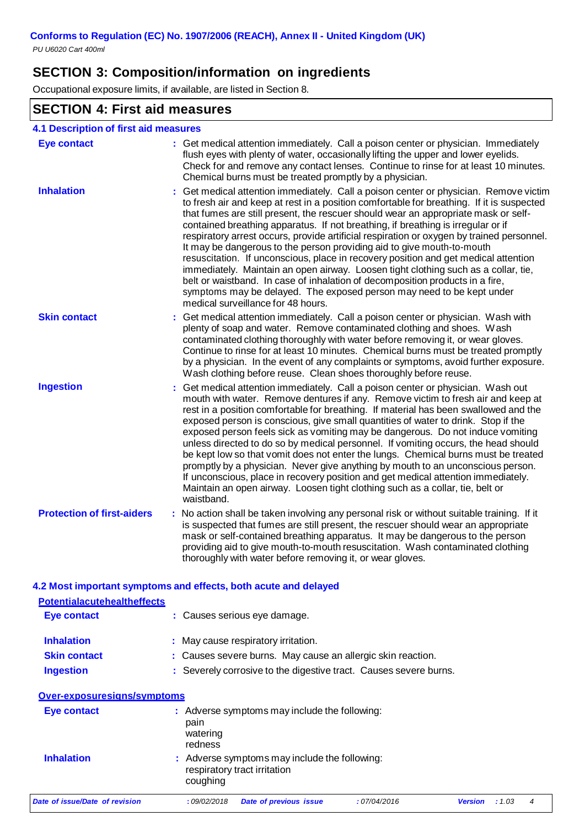## **SECTION 3: Composition/information on ingredients**

Occupational exposure limits, if available, are listed in Section 8.

## **SECTION 4: First aid measures**

| <b>4.1 Description of first aid measures</b> |                                                                                                                                                                                                                                                                                                                                                                                                                                                                                                                                                                                                                                                                                                                                                                                                                                                                                                                |
|----------------------------------------------|----------------------------------------------------------------------------------------------------------------------------------------------------------------------------------------------------------------------------------------------------------------------------------------------------------------------------------------------------------------------------------------------------------------------------------------------------------------------------------------------------------------------------------------------------------------------------------------------------------------------------------------------------------------------------------------------------------------------------------------------------------------------------------------------------------------------------------------------------------------------------------------------------------------|
| <b>Eye contact</b>                           | : Get medical attention immediately. Call a poison center or physician. Immediately<br>flush eyes with plenty of water, occasionally lifting the upper and lower eyelids.<br>Check for and remove any contact lenses. Continue to rinse for at least 10 minutes.<br>Chemical burns must be treated promptly by a physician.                                                                                                                                                                                                                                                                                                                                                                                                                                                                                                                                                                                    |
| <b>Inhalation</b>                            | Get medical attention immediately. Call a poison center or physician. Remove victim<br>to fresh air and keep at rest in a position comfortable for breathing. If it is suspected<br>that fumes are still present, the rescuer should wear an appropriate mask or self-<br>contained breathing apparatus. If not breathing, if breathing is irregular or if<br>respiratory arrest occurs, provide artificial respiration or oxygen by trained personnel.<br>It may be dangerous to the person providing aid to give mouth-to-mouth<br>resuscitation. If unconscious, place in recovery position and get medical attention<br>immediately. Maintain an open airway. Loosen tight clothing such as a collar, tie,<br>belt or waistband. In case of inhalation of decomposition products in a fire,<br>symptoms may be delayed. The exposed person may need to be kept under<br>medical surveillance for 48 hours. |
| <b>Skin contact</b>                          | : Get medical attention immediately. Call a poison center or physician. Wash with<br>plenty of soap and water. Remove contaminated clothing and shoes. Wash<br>contaminated clothing thoroughly with water before removing it, or wear gloves.<br>Continue to rinse for at least 10 minutes. Chemical burns must be treated promptly<br>by a physician. In the event of any complaints or symptoms, avoid further exposure.<br>Wash clothing before reuse. Clean shoes thoroughly before reuse.                                                                                                                                                                                                                                                                                                                                                                                                                |
| <b>Ingestion</b>                             | Get medical attention immediately. Call a poison center or physician. Wash out<br>mouth with water. Remove dentures if any. Remove victim to fresh air and keep at<br>rest in a position comfortable for breathing. If material has been swallowed and the<br>exposed person is conscious, give small quantities of water to drink. Stop if the<br>exposed person feels sick as vomiting may be dangerous. Do not induce vomiting<br>unless directed to do so by medical personnel. If vomiting occurs, the head should<br>be kept low so that vomit does not enter the lungs. Chemical burns must be treated<br>promptly by a physician. Never give anything by mouth to an unconscious person.<br>If unconscious, place in recovery position and get medical attention immediately.<br>Maintain an open airway. Loosen tight clothing such as a collar, tie, belt or<br>waistband.                           |
| <b>Protection of first-aiders</b>            | : No action shall be taken involving any personal risk or without suitable training. If it<br>is suspected that fumes are still present, the rescuer should wear an appropriate<br>mask or self-contained breathing apparatus. It may be dangerous to the person<br>providing aid to give mouth-to-mouth resuscitation. Wash contaminated clothing<br>thoroughly with water before removing it, or wear gloves.                                                                                                                                                                                                                                                                                                                                                                                                                                                                                                |
|                                              | 4.2 Most important symptoms and effects, both acute and delayed                                                                                                                                                                                                                                                                                                                                                                                                                                                                                                                                                                                                                                                                                                                                                                                                                                                |
| <b>Potentialacutehealtheffects</b>           | : Causes serious eye damage.                                                                                                                                                                                                                                                                                                                                                                                                                                                                                                                                                                                                                                                                                                                                                                                                                                                                                   |
| <b>Eye contact</b>                           |                                                                                                                                                                                                                                                                                                                                                                                                                                                                                                                                                                                                                                                                                                                                                                                                                                                                                                                |
| <b>Inhalation</b>                            | : May cause respiratory irritation.                                                                                                                                                                                                                                                                                                                                                                                                                                                                                                                                                                                                                                                                                                                                                                                                                                                                            |

- **Skin contact :** Causes severe burns. May cause an allergic skin reaction.
- **Ingestion :** Severely corrosive to the digestive tract. Causes severe burns.

| Over-exposuresigns/symptoms<br><b>Eye contact</b> | pain<br>watering<br>redness | : Adverse symptoms may include the following:                               |             |                |        |  |
|---------------------------------------------------|-----------------------------|-----------------------------------------------------------------------------|-------------|----------------|--------|--|
| <b>Inhalation</b>                                 | ÷.<br>coughing              | Adverse symptoms may include the following:<br>respiratory tract irritation |             |                |        |  |
| Date of issue/Date of revision                    | :09/02/2018                 | Date of previous issue                                                      | :07/04/2016 | <b>Version</b> | : 1.03 |  |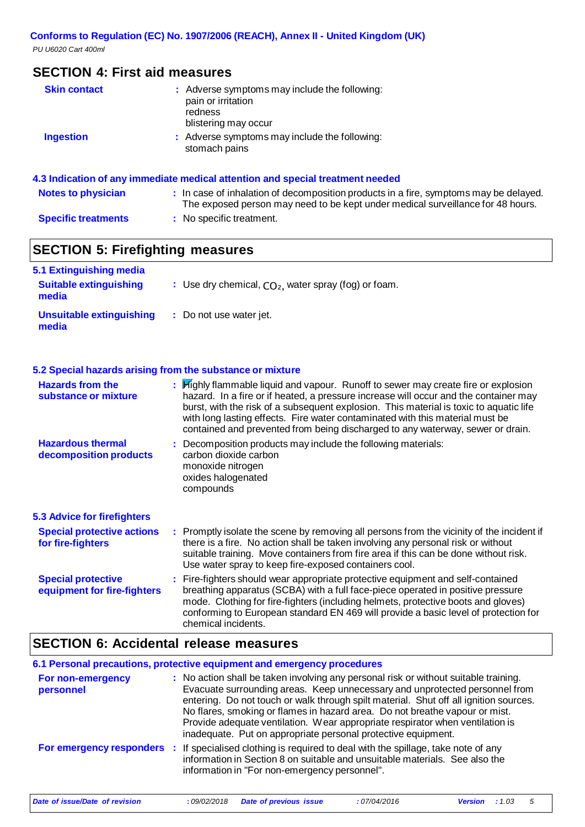## **SECTION 4: First aid measures**

| <b>Skin contact</b> | : Adverse symptoms may include the following:<br>pain or irritation<br>redness<br>blistering may occur |
|---------------------|--------------------------------------------------------------------------------------------------------|
| <b>Ingestion</b>    | : Adverse symptoms may include the following:<br>stomach pains                                         |
|                     | 4.3 Indication of any immediate medical attention and special treatment needed                         |

| <b>Notes to physician</b> | : In case of inhalation of decomposition products in a fire, symptoms may be delayed. |
|---------------------------|---------------------------------------------------------------------------------------|
|                           | The exposed person may need to be kept under medical surveillance for 48 hours.       |

**Specific treatments :** No specific treatment.

## **SECTION 5: Firefighting measures**

| 5.1 Extinguishing media<br><b>Suitable extinguishing</b><br>media | : Use dry chemical, $CO2$ , water spray (fog) or foam.                                                                                                                                                                                                                                                                                                                                                                                       |
|-------------------------------------------------------------------|----------------------------------------------------------------------------------------------------------------------------------------------------------------------------------------------------------------------------------------------------------------------------------------------------------------------------------------------------------------------------------------------------------------------------------------------|
| <b>Unsuitable extinguishing</b><br>media                          | : Do not use water jet.                                                                                                                                                                                                                                                                                                                                                                                                                      |
| 5.2 Special hazards arising from the substance or mixture         |                                                                                                                                                                                                                                                                                                                                                                                                                                              |
| <b>Hazards from the</b><br>substance or mixture                   | <b>Highly flammable liquid and vapour.</b> Runoff to sewer may create fire or explosion<br>hazard. In a fire or if heated, a pressure increase will occur and the container may<br>burst, with the risk of a subsequent explosion. This material is toxic to aquatic life<br>with long lasting effects. Fire water contaminated with this material must be<br>contained and prevented from being discharged to any waterway, sewer or drain. |
| <b>Hazardous thermal</b><br>decomposition products                | Decomposition products may include the following materials:<br>carbon dioxide carbon<br>monoxide nitrogen<br>oxides halogenated<br>compounds                                                                                                                                                                                                                                                                                                 |
| <b>5.3 Advice for firefighters</b>                                |                                                                                                                                                                                                                                                                                                                                                                                                                                              |
| <b>Special protective actions</b><br>for fire-fighters            | : Promptly isolate the scene by removing all persons from the vicinity of the incident if<br>there is a fire. No action shall be taken involving any personal risk or without<br>suitable training. Move containers from fire area if this can be done without risk.<br>Use water spray to keep fire-exposed containers cool.                                                                                                                |
| <b>Special protective</b><br>equipment for fire-fighters          | Fire-fighters should wear appropriate protective equipment and self-contained<br>breathing apparatus (SCBA) with a full face-piece operated in positive pressure<br>mode. Clothing for fire-fighters (including helmets, protective boots and gloves)<br>conforming to European standard EN 469 will provide a basic level of protection for<br>chemical incidents.                                                                          |

## **SECTION 6: Accidental release measures**

|                                |    | 6.1 Personal precautions, protective equipment and emergency procedures                                                                                                                                                                                                                                                                                                                                                                                                                       |
|--------------------------------|----|-----------------------------------------------------------------------------------------------------------------------------------------------------------------------------------------------------------------------------------------------------------------------------------------------------------------------------------------------------------------------------------------------------------------------------------------------------------------------------------------------|
| For non-emergency<br>personnel |    | : No action shall be taken involving any personal risk or without suitable training.<br>Evacuate surrounding areas. Keep unnecessary and unprotected personnel from<br>entering. Do not touch or walk through spilt material. Shut off all ignition sources.<br>No flares, smoking or flames in hazard area. Do not breathe vapour or mist.<br>Provide adequate ventilation. Wear appropriate respirator when ventilation is<br>inadequate. Put on appropriate personal protective equipment. |
| For emergency responders       | ÷. | If specialised clothing is required to deal with the spillage, take note of any<br>information in Section 8 on suitable and unsuitable materials. See also the<br>information in "For non-emergency personnel".                                                                                                                                                                                                                                                                               |

*Date of issue/Date of revision* **:** *09/02/2018 Date of previous issue : 07/04/2016 Version : 1.03 5*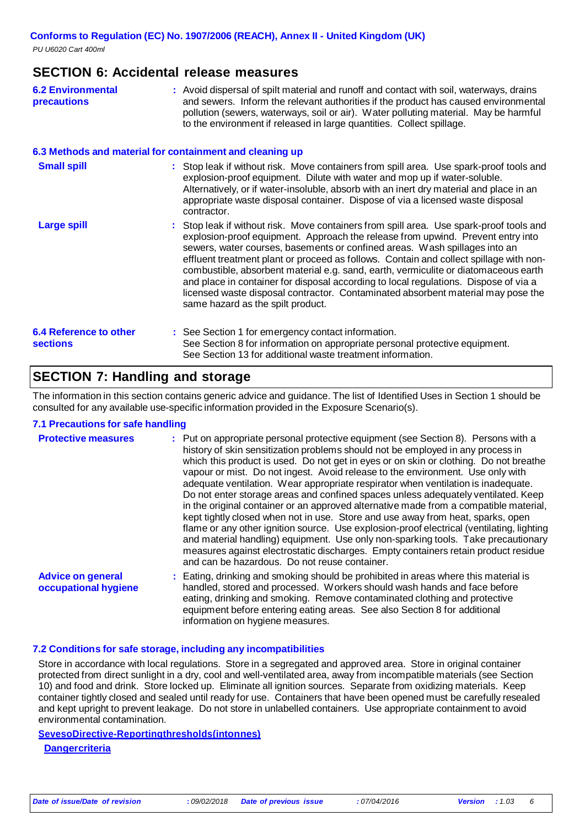#### **SECTION 6: Accidental release measures**

| <b>6.2 Environmental</b> | : Avoid dispersal of spilt material and runoff and contact with soil, waterways, drains |
|--------------------------|-----------------------------------------------------------------------------------------|
| <b>precautions</b>       | and sewers. Inform the relevant authorities if the product has caused environmental     |
|                          | pollution (sewers, waterways, soil or air). Water polluting material. May be harmful    |
|                          | to the environment if released in large quantities. Collect spillage.                   |

#### **6.3 Methods and material for containment and cleaning up**

| <b>Small spill</b>                               | : Stop leak if without risk. Move containers from spill area. Use spark-proof tools and<br>explosion-proof equipment. Dilute with water and mop up if water-soluble.<br>Alternatively, or if water-insoluble, absorb with an inert dry material and place in an<br>appropriate waste disposal container. Dispose of via a licensed waste disposal<br>contractor.                                                                                                                                                                                                                                                                                           |
|--------------------------------------------------|------------------------------------------------------------------------------------------------------------------------------------------------------------------------------------------------------------------------------------------------------------------------------------------------------------------------------------------------------------------------------------------------------------------------------------------------------------------------------------------------------------------------------------------------------------------------------------------------------------------------------------------------------------|
| <b>Large spill</b>                               | : Stop leak if without risk. Move containers from spill area. Use spark-proof tools and<br>explosion-proof equipment. Approach the release from upwind. Prevent entry into<br>sewers, water courses, basements or confined areas. Wash spillages into an<br>effluent treatment plant or proceed as follows. Contain and collect spillage with non-<br>combustible, absorbent material e.g. sand, earth, vermiculite or diatomaceous earth<br>and place in container for disposal according to local regulations. Dispose of via a<br>licensed waste disposal contractor. Contaminated absorbent material may pose the<br>same hazard as the spilt product. |
| <b>6.4 Reference to other</b><br><b>sections</b> | : See Section 1 for emergency contact information.<br>See Section 8 for information on appropriate personal protective equipment.<br>See Section 13 for additional waste treatment information.                                                                                                                                                                                                                                                                                                                                                                                                                                                            |

## **SECTION 7: Handling and storage**

The information in this section contains generic advice and guidance. The list of Identified Uses in Section 1 should be consulted for any available use-specific information provided in the Exposure Scenario(s).

#### **7.1 Precautions for safe handling**

| <b>Protective measures</b>                       | : Put on appropriate personal protective equipment (see Section 8). Persons with a<br>history of skin sensitization problems should not be employed in any process in<br>which this product is used. Do not get in eyes or on skin or clothing. Do not breathe<br>vapour or mist. Do not ingest. Avoid release to the environment. Use only with<br>adequate ventilation. Wear appropriate respirator when ventilation is inadequate.<br>Do not enter storage areas and confined spaces unless adequately ventilated. Keep<br>in the original container or an approved alternative made from a compatible material,<br>kept tightly closed when not in use. Store and use away from heat, sparks, open<br>flame or any other ignition source. Use explosion-proof electrical (ventilating, lighting<br>and material handling) equipment. Use only non-sparking tools. Take precautionary<br>measures against electrostatic discharges. Empty containers retain product residue<br>and can be hazardous. Do not reuse container. |
|--------------------------------------------------|---------------------------------------------------------------------------------------------------------------------------------------------------------------------------------------------------------------------------------------------------------------------------------------------------------------------------------------------------------------------------------------------------------------------------------------------------------------------------------------------------------------------------------------------------------------------------------------------------------------------------------------------------------------------------------------------------------------------------------------------------------------------------------------------------------------------------------------------------------------------------------------------------------------------------------------------------------------------------------------------------------------------------------|
| <b>Advice on general</b><br>occupational hygiene | : Eating, drinking and smoking should be prohibited in areas where this material is<br>handled, stored and processed. Workers should wash hands and face before<br>eating, drinking and smoking. Remove contaminated clothing and protective<br>equipment before entering eating areas. See also Section 8 for additional<br>information on hygiene measures.                                                                                                                                                                                                                                                                                                                                                                                                                                                                                                                                                                                                                                                                   |

#### **7.2 Conditions for safe storage, including any incompatibilities**

Store in accordance with local regulations. Store in a segregated and approved area. Store in original container protected from direct sunlight in a dry, cool and well-ventilated area, away from incompatible materials (see Section 10) and food and drink. Store locked up. Eliminate all ignition sources. Separate from oxidizing materials. Keep container tightly closed and sealed until ready for use. Containers that have been opened must be carefully resealed and kept upright to prevent leakage. Do not store in unlabelled containers. Use appropriate containment to avoid environmental contamination.

#### **SevesoDirective-Reportingthresholds(intonnes)**

**Dangercriteria**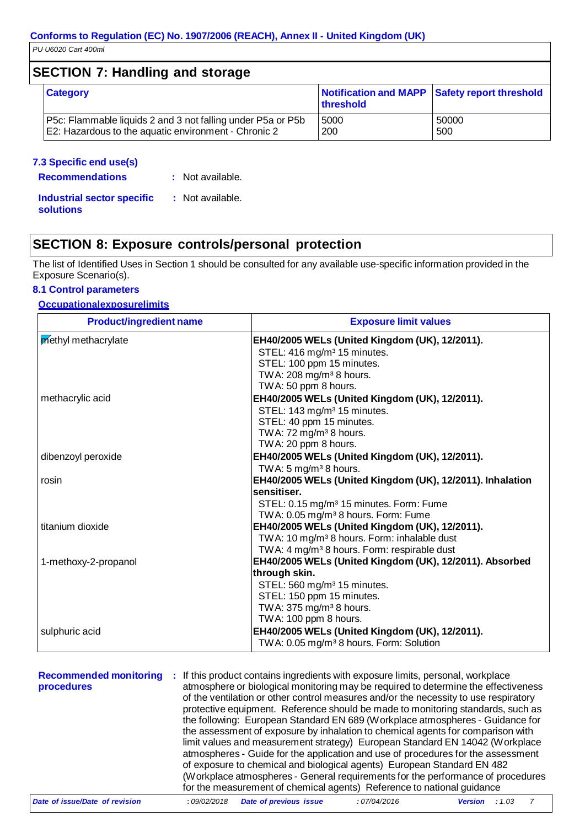| <b>SECTION 7: Handling and storage</b> |                                                                                                                     |                                                            |              |  |
|----------------------------------------|---------------------------------------------------------------------------------------------------------------------|------------------------------------------------------------|--------------|--|
|                                        | <b>Category</b>                                                                                                     | Notification and MAPP Safety report threshold<br>threshold |              |  |
|                                        | P5c: Flammable liquids 2 and 3 not falling under P5a or P5b<br>E2: Hazardous to the aquatic environment - Chronic 2 | 5000<br>200                                                | 50000<br>500 |  |

| 7.3 Specific end use(s)                               |                  |
|-------------------------------------------------------|------------------|
| <b>Recommendations</b>                                | : Not available. |
| <b>Industrial sector specific</b><br><b>solutions</b> | : Not available. |

## **SECTION 8: Exposure controls/personal protection**

The list of Identified Uses in Section 1 should be consulted for any available use-specific information provided in the Exposure Scenario(s).

#### **8.1 Control parameters**

#### **Occupationalexposurelimits**

| <b>Product/ingredient name</b> | <b>Exposure limit values</b>                                                                          |
|--------------------------------|-------------------------------------------------------------------------------------------------------|
| methyl methacrylate            | EH40/2005 WELs (United Kingdom (UK), 12/2011).                                                        |
|                                | STEL: 416 mg/m <sup>3</sup> 15 minutes.                                                               |
|                                | STEL: 100 ppm 15 minutes.                                                                             |
|                                | TWA: 208 mg/m <sup>3</sup> 8 hours.                                                                   |
|                                | TWA: 50 ppm 8 hours.                                                                                  |
| methacrylic acid               | EH40/2005 WELs (United Kingdom (UK), 12/2011).                                                        |
|                                | STEL: 143 mg/m <sup>3</sup> 15 minutes.                                                               |
|                                | STEL: 40 ppm 15 minutes.                                                                              |
|                                | TWA: $72 \text{ mg/m}^3$ 8 hours.                                                                     |
|                                | TWA: 20 ppm 8 hours.                                                                                  |
| dibenzoyl peroxide             | EH40/2005 WELs (United Kingdom (UK), 12/2011).                                                        |
|                                | TWA: $5 \text{ mg/m}^3$ 8 hours.                                                                      |
| rosin                          | EH40/2005 WELs (United Kingdom (UK), 12/2011). Inhalation                                             |
|                                | sensitiser.                                                                                           |
|                                | STEL: 0.15 mg/m <sup>3</sup> 15 minutes. Form: Fume                                                   |
|                                | TWA: 0.05 mg/m <sup>3</sup> 8 hours. Form: Fume                                                       |
| titanium dioxide               | EH40/2005 WELs (United Kingdom (UK), 12/2011).                                                        |
|                                | TWA: 10 mg/m <sup>3</sup> 8 hours. Form: inhalable dust                                               |
|                                | TWA: 4 mg/m <sup>3</sup> 8 hours. Form: respirable dust                                               |
| 1-methoxy-2-propanol           | EH40/2005 WELs (United Kingdom (UK), 12/2011). Absorbed                                               |
|                                | through skin.                                                                                         |
|                                | STEL: 560 mg/m <sup>3</sup> 15 minutes.                                                               |
|                                | STEL: 150 ppm 15 minutes.                                                                             |
|                                | TWA: 375 mg/m <sup>3</sup> 8 hours.                                                                   |
|                                | TWA: 100 ppm 8 hours.                                                                                 |
| sulphuric acid                 | EH40/2005 WELs (United Kingdom (UK), 12/2011).<br>TWA: 0.05 mg/m <sup>3</sup> 8 hours. Form: Solution |

| <b>Recommended monitoring</b><br>procedures |  | : If this product contains ingredients with exposure limits, personal, workplace<br>atmosphere or biological monitoring may be required to determine the effectiveness<br>of the ventilation or other control measures and/or the necessity to use respiratory<br>protective equipment. Reference should be made to monitoring standards, such as<br>the following: European Standard EN 689 (Workplace atmospheres - Guidance for<br>the assessment of exposure by inhalation to chemical agents for comparison with<br>limit values and measurement strategy) European Standard EN 14042 (Workplace<br>atmospheres - Guide for the application and use of procedures for the assessment<br>of exposure to chemical and biological agents) European Standard EN 482<br>(Workplace atmospheres - General requirements for the performance of procedures<br>for the measurement of chemical agents) Reference to national guidance |
|---------------------------------------------|--|-----------------------------------------------------------------------------------------------------------------------------------------------------------------------------------------------------------------------------------------------------------------------------------------------------------------------------------------------------------------------------------------------------------------------------------------------------------------------------------------------------------------------------------------------------------------------------------------------------------------------------------------------------------------------------------------------------------------------------------------------------------------------------------------------------------------------------------------------------------------------------------------------------------------------------------|
|---------------------------------------------|--|-----------------------------------------------------------------------------------------------------------------------------------------------------------------------------------------------------------------------------------------------------------------------------------------------------------------------------------------------------------------------------------------------------------------------------------------------------------------------------------------------------------------------------------------------------------------------------------------------------------------------------------------------------------------------------------------------------------------------------------------------------------------------------------------------------------------------------------------------------------------------------------------------------------------------------------|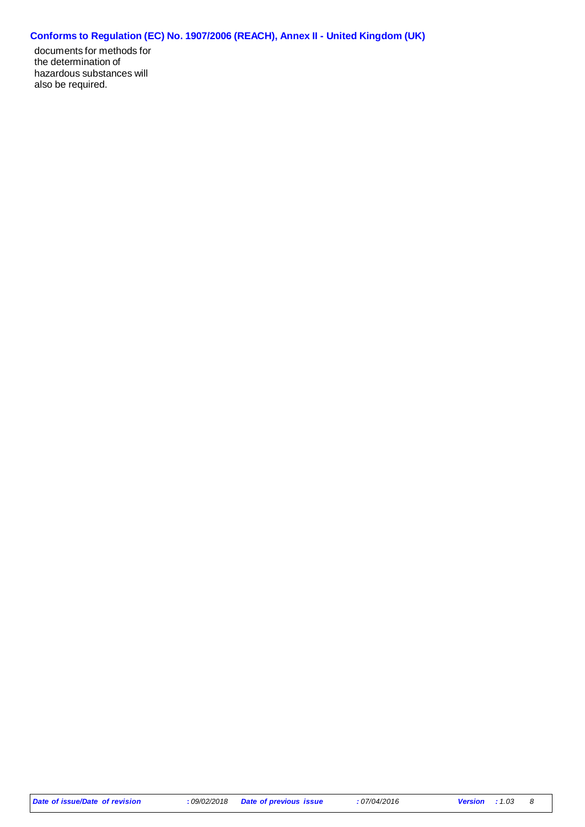documents for methods for the determination of hazardous substances will also be required.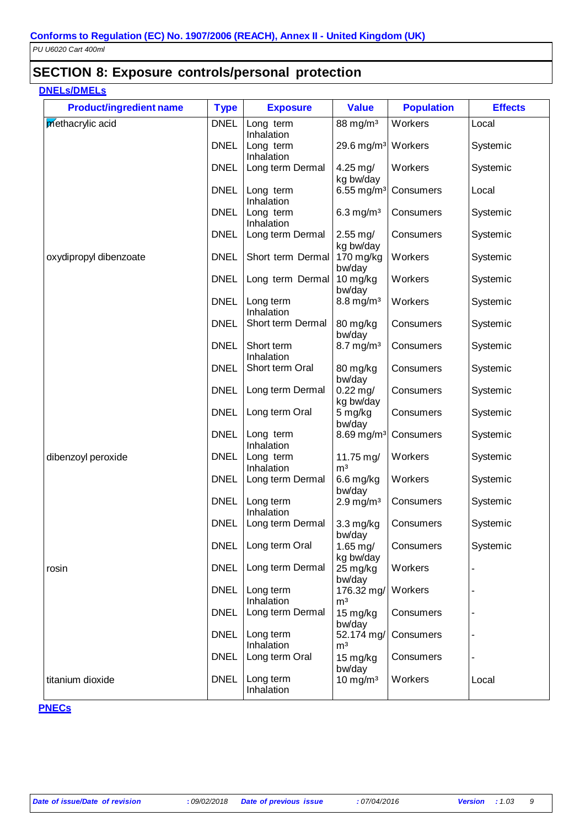## **SECTION 8: Exposure controls/personal protection**

## **DNELs/DMELs**

| <b>Product/ingredient name</b> | <b>Type</b> | <b>Exposure</b>          | <b>Value</b>                     | <b>Population</b> | <b>Effects</b> |
|--------------------------------|-------------|--------------------------|----------------------------------|-------------------|----------------|
| methacrylic acid               | <b>DNEL</b> | Long term<br>Inhalation  | 88 mg/m <sup>3</sup>             | Workers           | Local          |
|                                | <b>DNEL</b> | Long term<br>Inhalation  | 29.6 mg/m <sup>3</sup>           | Workers           | Systemic       |
|                                | <b>DNEL</b> | Long term Dermal         | $4.25$ mg/<br>kg bw/day          | Workers           | Systemic       |
|                                | <b>DNEL</b> | Long term<br>Inhalation  | 6.55 mg/m <sup>3</sup>           | Consumers         | Local          |
|                                | <b>DNEL</b> | Long term<br>Inhalation  | $6.3$ mg/m <sup>3</sup>          | Consumers         | Systemic       |
|                                | <b>DNEL</b> | Long term Dermal         | $2.55$ mg/<br>kg bw/day          | Consumers         | Systemic       |
| oxydipropyl dibenzoate         | <b>DNEL</b> | Short term Dermal        | $170$ mg/kg<br>bw/day            | Workers           | Systemic       |
|                                | <b>DNEL</b> | Long term Dermal         | 10 mg/kg<br>bw/day               | Workers           | Systemic       |
|                                | <b>DNEL</b> | Long term<br>Inhalation  | $8.8$ mg/m <sup>3</sup>          | Workers           | Systemic       |
|                                | <b>DNEL</b> | Short term Dermal        | 80 mg/kg<br>bw/day               | Consumers         | Systemic       |
|                                | <b>DNEL</b> | Short term<br>Inhalation | $8.7 \text{ mg/m}^3$             | Consumers         | Systemic       |
|                                | <b>DNEL</b> | Short term Oral          | 80 mg/kg<br>bw/day               | Consumers         | Systemic       |
|                                | <b>DNEL</b> | Long term Dermal         | $0.22$ mg/<br>kg bw/day          | Consumers         | Systemic       |
|                                | <b>DNEL</b> | Long term Oral           | 5 mg/kg<br>bw/day                | Consumers         | Systemic       |
|                                | <b>DNEL</b> | Long term<br>Inhalation  | 8.69 mg/m <sup>3</sup>           | Consumers         | Systemic       |
| dibenzoyl peroxide             | <b>DNEL</b> | Long term<br>Inhalation  | 11.75 mg/<br>m <sup>3</sup>      | Workers           | Systemic       |
|                                | <b>DNEL</b> | Long term Dermal         | $6.6$ mg/kg<br>bw/day            | Workers           | Systemic       |
|                                | <b>DNEL</b> | Long term<br>Inhalation  | $2.9$ mg/m <sup>3</sup>          | Consumers         | Systemic       |
|                                | <b>DNEL</b> | Long term Dermal         | $3.3 \,\mathrm{mg/kg}$<br>bw/day | Consumers         | Systemic       |
|                                | <b>DNEL</b> | Long term Oral           | $1.65$ mg/<br>kg bw/day          | Consumers         | Systemic       |
| rosin                          | <b>DNEL</b> | Long term Dermal         | 25 mg/kg<br>bw/day               | Workers           |                |
|                                | <b>DNEL</b> | Long term<br>Inhalation  | 176.32 mg/<br>m <sup>3</sup>     | Workers           |                |
|                                | <b>DNEL</b> | Long term Dermal         | $15 \text{ mg/kg}$<br>bw/day     | Consumers         |                |
|                                | <b>DNEL</b> | Long term<br>Inhalation  | 52.174 mg/<br>m <sup>3</sup>     | Consumers         |                |
|                                | <b>DNEL</b> | Long term Oral           | 15 mg/kg<br>bw/day               | Consumers         |                |
| titanium dioxide               | <b>DNEL</b> | Long term<br>Inhalation  | $10 \text{ mg/m}^3$              | Workers           | Local          |

#### **PNECs**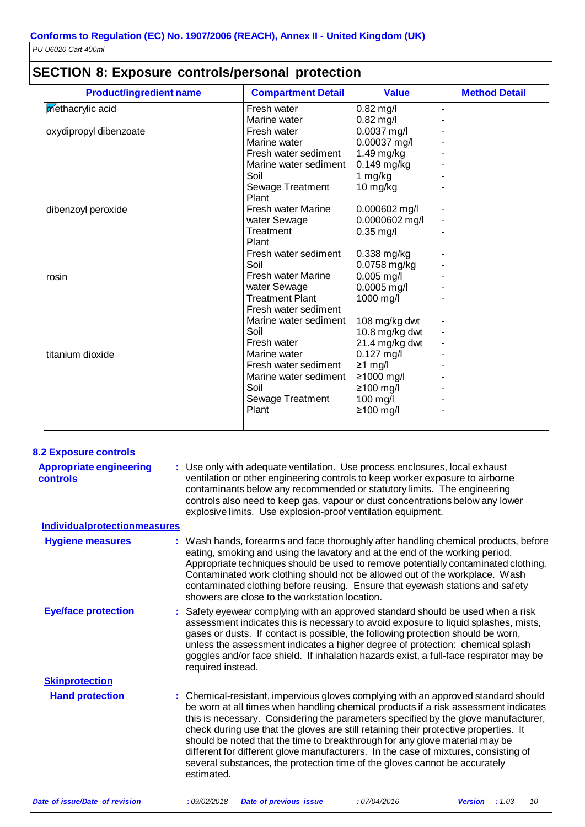| <b>Product/ingredient name</b> | <b>Compartment Detail</b> | <b>Value</b>   | <b>Method Detail</b> |
|--------------------------------|---------------------------|----------------|----------------------|
| methacrylic acid               | Fresh water               | $0.82$ mg/l    |                      |
|                                | Marine water              | $0.82$ mg/l    |                      |
| oxydipropyl dibenzoate         | Fresh water               | 0.0037 mg/l    |                      |
|                                | Marine water              | 0.00037 mg/l   |                      |
|                                | Fresh water sediment      | $1.49$ mg/kg   |                      |
|                                | Marine water sediment     | $0.149$ mg/kg  |                      |
|                                | Soil                      | 1 mg/kg        |                      |
|                                | Sewage Treatment          | 10 mg/kg       |                      |
|                                | Plant                     |                |                      |
| dibenzoyl peroxide             | <b>Fresh water Marine</b> | 0.000602 mg/l  |                      |
|                                | water Sewage              | 0.0000602 mg/l |                      |
|                                | Treatment                 | $0.35$ mg/l    |                      |
|                                | Plant                     |                |                      |
|                                | Fresh water sediment      | 0.338 mg/kg    |                      |
|                                | Soil                      | 0.0758 mg/kg   |                      |
| rosin                          | <b>Fresh water Marine</b> | $0.005$ mg/l   |                      |
|                                | water Sewage              | $0.0005$ mg/l  |                      |
|                                | <b>Treatment Plant</b>    | 1000 mg/l      |                      |
|                                | Fresh water sediment      |                |                      |
|                                | Marine water sediment     | 108 mg/kg dwt  |                      |
|                                | Soil                      | 10.8 mg/kg dwt |                      |
|                                | Fresh water               | 21.4 mg/kg dwt |                      |
| titanium dioxide               | Marine water              | $0.127$ mg/l   |                      |
|                                | Fresh water sediment      | $\geq 1$ mg/l  |                      |
|                                | Marine water sediment     | ≥1000 mg/l     |                      |
|                                | Soil                      | $≥100$ mg/l    |                      |
|                                | Sewage Treatment          | 100 mg/l       |                      |
|                                | Plant                     | $≥100$ mg/l    |                      |
|                                |                           |                |                      |

## **SECTION 8: Exposure controls/personal protection**

| <b>8.2 Exposure controls</b>                      |                                                                                                                                                                                                                                                                                                                                                                                                                                                                                                                                                                                                                           |  |  |
|---------------------------------------------------|---------------------------------------------------------------------------------------------------------------------------------------------------------------------------------------------------------------------------------------------------------------------------------------------------------------------------------------------------------------------------------------------------------------------------------------------------------------------------------------------------------------------------------------------------------------------------------------------------------------------------|--|--|
| <b>Appropriate engineering</b><br><b>controls</b> | : Use only with adequate ventilation. Use process enclosures, local exhaust<br>ventilation or other engineering controls to keep worker exposure to airborne<br>contaminants below any recommended or statutory limits. The engineering<br>controls also need to keep gas, vapour or dust concentrations below any lower<br>explosive limits. Use explosion-proof ventilation equipment.                                                                                                                                                                                                                                  |  |  |
| <b>Individualprotectionmeasures</b>               |                                                                                                                                                                                                                                                                                                                                                                                                                                                                                                                                                                                                                           |  |  |
| <b>Hygiene measures</b>                           | : Wash hands, forearms and face thoroughly after handling chemical products, before<br>eating, smoking and using the lavatory and at the end of the working period.<br>Appropriate techniques should be used to remove potentially contaminated clothing.<br>Contaminated work clothing should not be allowed out of the workplace. Wash<br>contaminated clothing before reusing. Ensure that eyewash stations and safety<br>showers are close to the workstation location.                                                                                                                                               |  |  |
| <b>Eye/face protection</b>                        | : Safety eyewear complying with an approved standard should be used when a risk<br>assessment indicates this is necessary to avoid exposure to liquid splashes, mists,<br>gases or dusts. If contact is possible, the following protection should be worn,<br>unless the assessment indicates a higher degree of protection: chemical splash<br>goggles and/or face shield. If inhalation hazards exist, a full-face respirator may be<br>required instead.                                                                                                                                                               |  |  |
| <b>Skinprotection</b>                             |                                                                                                                                                                                                                                                                                                                                                                                                                                                                                                                                                                                                                           |  |  |
| <b>Hand protection</b>                            | : Chemical-resistant, impervious gloves complying with an approved standard should<br>be worn at all times when handling chemical products if a risk assessment indicates<br>this is necessary. Considering the parameters specified by the glove manufacturer,<br>check during use that the gloves are still retaining their protective properties. It<br>should be noted that the time to breakthrough for any glove material may be<br>different for different glove manufacturers. In the case of mixtures, consisting of<br>several substances, the protection time of the gloves cannot be accurately<br>estimated. |  |  |
|                                                   |                                                                                                                                                                                                                                                                                                                                                                                                                                                                                                                                                                                                                           |  |  |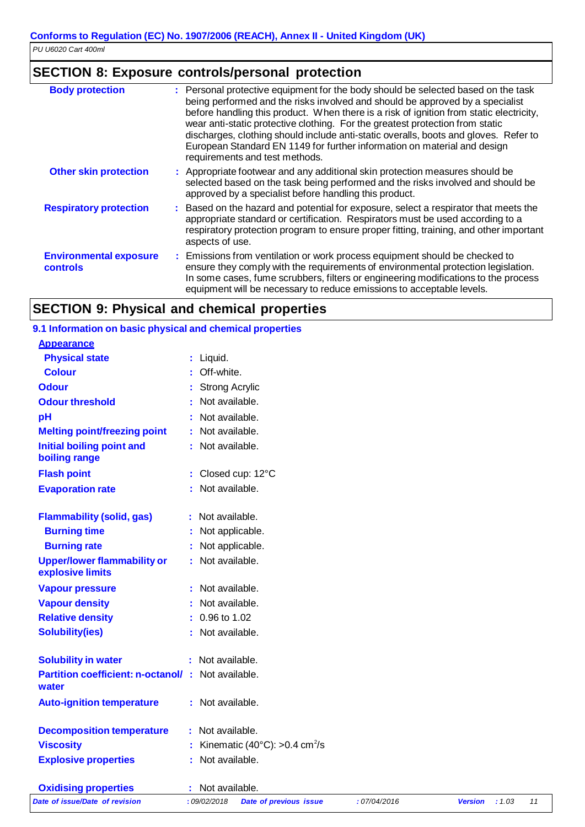## **SECTION 8: Exposure controls/personal protection**

| <b>Body protection</b>                    | : Personal protective equipment for the body should be selected based on the task<br>being performed and the risks involved and should be approved by a specialist<br>before handling this product. When there is a risk of ignition from static electricity,<br>wear anti-static protective clothing. For the greatest protection from static<br>discharges, clothing should include anti-static overalls, boots and gloves. Refer to<br>European Standard EN 1149 for further information on material and design<br>requirements and test methods. |
|-------------------------------------------|------------------------------------------------------------------------------------------------------------------------------------------------------------------------------------------------------------------------------------------------------------------------------------------------------------------------------------------------------------------------------------------------------------------------------------------------------------------------------------------------------------------------------------------------------|
| <b>Other skin protection</b>              | : Appropriate footwear and any additional skin protection measures should be<br>selected based on the task being performed and the risks involved and should be<br>approved by a specialist before handling this product.                                                                                                                                                                                                                                                                                                                            |
| <b>Respiratory protection</b>             | : Based on the hazard and potential for exposure, select a respirator that meets the<br>appropriate standard or certification. Respirators must be used according to a<br>respiratory protection program to ensure proper fitting, training, and other important<br>aspects of use.                                                                                                                                                                                                                                                                  |
| <b>Environmental exposure</b><br>controls | : Emissions from ventilation or work process equipment should be checked to<br>ensure they comply with the requirements of environmental protection legislation.<br>In some cases, fume scrubbers, filters or engineering modifications to the process<br>equipment will be necessary to reduce emissions to acceptable levels.                                                                                                                                                                                                                      |

## **SECTION 9: Physical and chemical properties**

| 9.1 Information on basic physical and chemical properties |    |                                                      |
|-----------------------------------------------------------|----|------------------------------------------------------|
| <b>Appearance</b>                                         |    |                                                      |
| <b>Physical state</b>                                     | ř, | Liquid.                                              |
| <b>Colour</b>                                             | ÷. | Off-white.                                           |
| <b>Odour</b>                                              | ÷  | <b>Strong Acrylic</b>                                |
| <b>Odour threshold</b>                                    |    | Not available.                                       |
| pH                                                        | ÷  | Not available.                                       |
| <b>Melting point/freezing point</b>                       | ÷. | Not available.                                       |
| <b>Initial boiling point and</b><br>boiling range         |    | Not available.                                       |
| <b>Flash point</b>                                        | t  | Closed cup: 12°C                                     |
| <b>Evaporation rate</b>                                   |    | Not available.                                       |
| <b>Flammability (solid, gas)</b>                          | t. | Not available.                                       |
| <b>Burning time</b>                                       | t  | Not applicable.                                      |
| <b>Burning rate</b>                                       | ř. | Not applicable.                                      |
| <b>Upper/lower flammability or</b><br>explosive limits    |    | Not available.                                       |
| <b>Vapour pressure</b>                                    | t  | Not available.                                       |
| <b>Vapour density</b>                                     |    | : Not available.                                     |
| <b>Relative density</b>                                   |    | 0.96 to 1.02                                         |
| <b>Solubility(ies)</b>                                    | Ì. | Not available.                                       |
| <b>Solubility in water</b>                                | ÷  | Not available.                                       |
| <b>Partition coefficient: n-octanol/:</b><br>water        |    | Not available.                                       |
| <b>Auto-ignition temperature</b>                          | ř. | Not available.                                       |
| <b>Decomposition temperature</b>                          | ř. | Not available.                                       |
| <b>Viscosity</b>                                          | t  | Kinematic (40 $^{\circ}$ C): >0.4 cm <sup>2</sup> /s |
| <b>Explosive properties</b>                               |    | Not available.                                       |
| <b>Oxidising properties</b>                               |    | Not available.                                       |

*Date of issue/Date of revision* **:** *09/02/2018 Date of previous issue : 07/04/2016 Version : 1.03 11*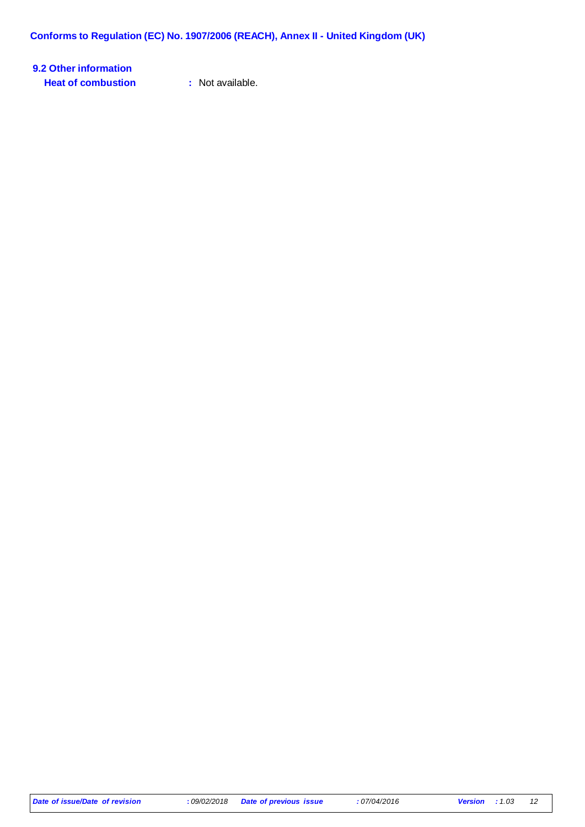## **9.2 Other information**

**Heat of combustion :** Not available.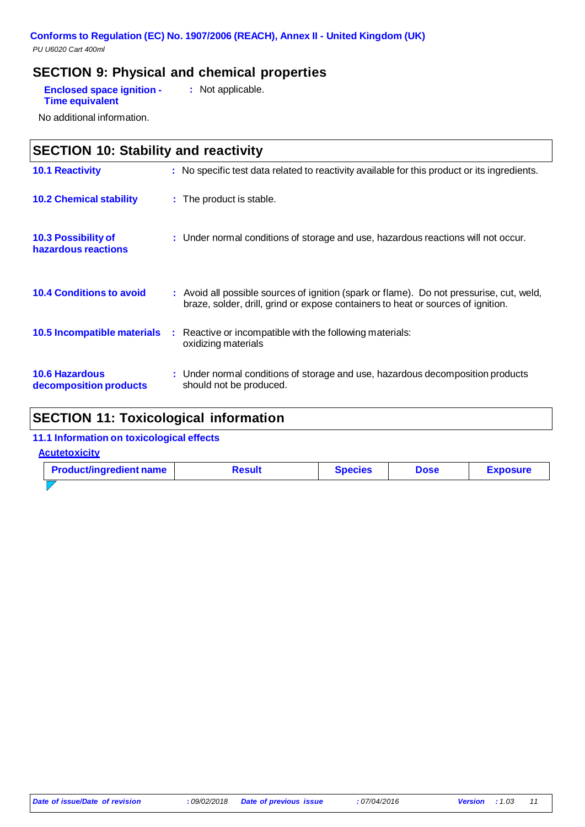*PU U6020 Cart 400ml*

## **SECTION 9: Physical and chemical properties**

| <b>Enclosed space ignition -</b> | Not applicable. |
|----------------------------------|-----------------|
|----------------------------------|-----------------|

**Time equivalent**

No additional information.

| <b>SECTION 10: Stability and reactivity</b>       |  |                                                                                                                                                                              |  |  |
|---------------------------------------------------|--|------------------------------------------------------------------------------------------------------------------------------------------------------------------------------|--|--|
| <b>10.1 Reactivity</b>                            |  | : No specific test data related to reactivity available for this product or its ingredients.                                                                                 |  |  |
| <b>10.2 Chemical stability</b>                    |  | : The product is stable.                                                                                                                                                     |  |  |
| <b>10.3 Possibility of</b><br>hazardous reactions |  | : Under normal conditions of storage and use, hazardous reactions will not occur.                                                                                            |  |  |
| <b>10.4 Conditions to avoid</b>                   |  | : Avoid all possible sources of ignition (spark or flame). Do not pressurise, cut, weld,<br>braze, solder, drill, grind or expose containers to heat or sources of ignition. |  |  |
| <b>10.5 Incompatible materials</b>                |  | Reactive or incompatible with the following materials:<br>oxidizing materials                                                                                                |  |  |
| <b>10.6 Hazardous</b><br>decomposition products   |  | : Under normal conditions of storage and use, hazardous decomposition products<br>should not be produced.                                                                    |  |  |

## **SECTION 11: Toxicological information**

## **11.1 Information on toxicological effects**

**Acutetoxicity**

| <b>Product/ingredient name</b> | <b>Result</b> | <b>Species</b> | <b>Dose</b> | <b>Exposure</b> |
|--------------------------------|---------------|----------------|-------------|-----------------|
|                                |               |                |             |                 |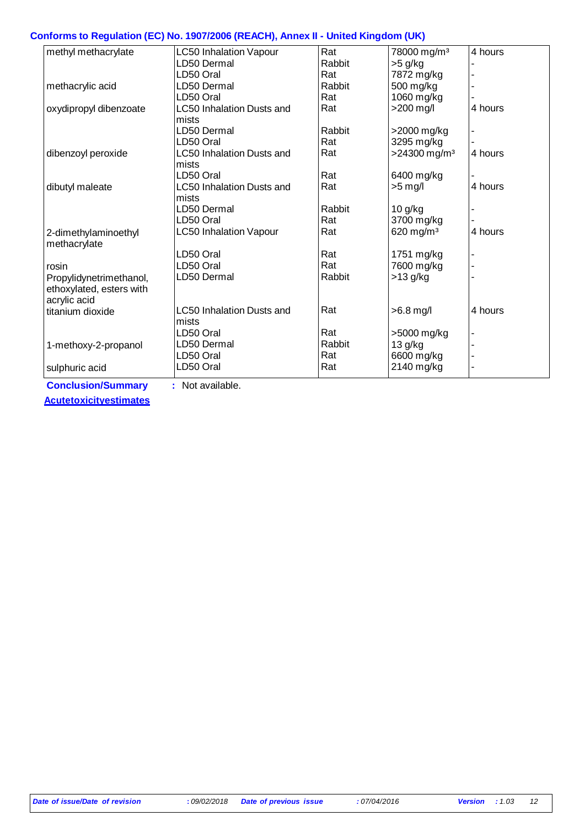| methyl methacrylate       | <b>LC50 Inhalation Vapour</b>    | Rat    | 78000 mg/m <sup>3</sup>    | 4 hours |
|---------------------------|----------------------------------|--------|----------------------------|---------|
|                           | LD50 Dermal                      | Rabbit | >5 g/kg                    |         |
|                           | LD50 Oral                        | Rat    | 7872 mg/kg                 |         |
| methacrylic acid          | LD50 Dermal                      | Rabbit | 500 mg/kg                  |         |
|                           | LD50 Oral                        | Rat    | 1060 mg/kg                 |         |
| oxydipropyl dibenzoate    | LC50 Inhalation Dusts and        | Rat    | $>200$ mg/l                | 4 hours |
|                           | mists                            |        |                            |         |
|                           | LD50 Dermal                      | Rabbit | >2000 mg/kg                |         |
|                           | LD50 Oral                        | Rat    | 3295 mg/kg                 |         |
| dibenzoyl peroxide        | LC50 Inhalation Dusts and        | Rat    | $>24300$ mg/m <sup>3</sup> | 4 hours |
|                           | mists                            |        |                            |         |
|                           | LD50 Oral                        | Rat    | 6400 mg/kg                 |         |
| dibutyl maleate           | LC50 Inhalation Dusts and        | Rat    | $>5$ mg/l                  | 4 hours |
|                           | mists                            |        |                            |         |
|                           | LD50 Dermal                      | Rabbit | $10$ g/kg                  |         |
|                           | LD50 Oral                        | Rat    | 3700 mg/kg                 |         |
| 2-dimethylaminoethyl      | <b>LC50 Inhalation Vapour</b>    | Rat    | 620 mg/m $3$               | 4 hours |
| methacrylate              |                                  |        |                            |         |
|                           | LD50 Oral                        | Rat    | 1751 mg/kg                 |         |
| rosin                     | LD50 Oral                        | Rat    | 7600 mg/kg                 |         |
| Propylidynetrimethanol,   | LD50 Dermal                      | Rabbit | $>13$ g/kg                 |         |
| ethoxylated, esters with  |                                  |        |                            |         |
| acrylic acid              |                                  |        |                            |         |
| titanium dioxide          | <b>LC50 Inhalation Dusts and</b> | Rat    | $>6.8$ mg/l                | 4 hours |
|                           | mists                            |        |                            |         |
|                           | LD50 Oral                        | Rat    | >5000 mg/kg                |         |
| 1-methoxy-2-propanol      | LD50 Dermal                      | Rabbit | 13 g/kg                    |         |
|                           | LD50 Oral                        | Rat    | 6600 mg/kg                 |         |
| sulphuric acid            | LD50 Oral                        | Rat    | 2140 mg/kg                 |         |
| <b>Conclusion/Summary</b> | : Not available.                 |        |                            |         |
|                           |                                  |        |                            |         |

**Acutetoxicityestimates**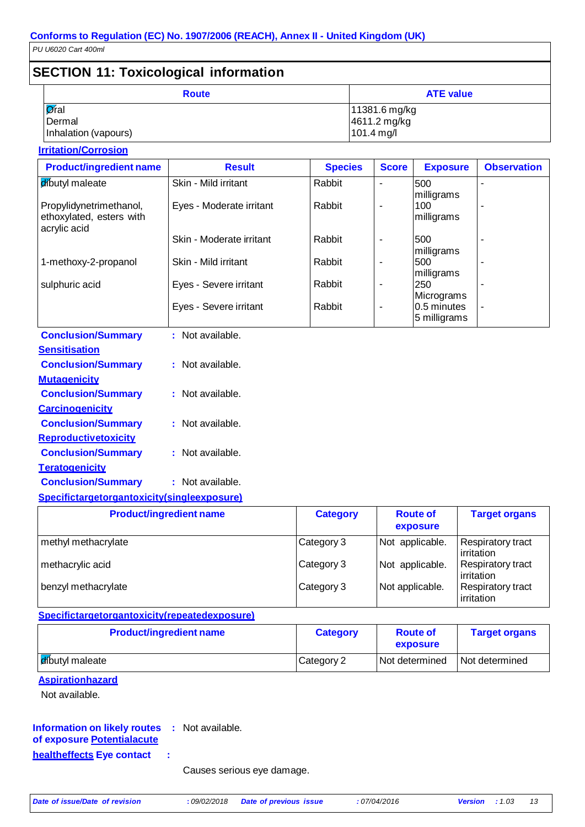## **SECTION 11: Toxicological information**

| <b>Route</b>         | <b>ATE value</b>     |
|----------------------|----------------------|
| $\overline{Q}$ ral   | 11381.6 mg/kg        |
| Dermal               | 4611.2 mg/kg         |
| Inhalation (vapours) | $101.4 \text{ mg/l}$ |

#### **Irritation/Corrosion**

| <b>Product/ingredient name</b>                                      | <b>Result</b>            | <b>Species</b> | <b>Score</b> | <b>Exposure</b>             | <b>Observation</b>       |
|---------------------------------------------------------------------|--------------------------|----------------|--------------|-----------------------------|--------------------------|
| dibutyl maleate                                                     | Skin - Mild irritant     | Rabbit         | ۰            | 500<br>milligrams           |                          |
| Propylidynetrimethanol,<br>ethoxylated, esters with<br>acrylic acid | Eyes - Moderate irritant | Rabbit         | ٠            | 100<br>milligrams           | $\overline{\phantom{0}}$ |
|                                                                     | Skin - Moderate irritant | Rabbit         | ۰            | 500<br>milligrams           | ٠                        |
| 1-methoxy-2-propanol                                                | Skin - Mild irritant     | Rabbit         | ٠            | 500<br>milligrams           | $\overline{\phantom{a}}$ |
| sulphuric acid                                                      | Eyes - Severe irritant   | Rabbit         | ٠            | 250<br>Micrograms           |                          |
|                                                                     | Eyes - Severe irritant   | Rabbit         | ٠            | 0.5 minutes<br>5 milligrams | $\sim$                   |

| <b>Conclusion/Summary</b> | : Not available. |
|---------------------------|------------------|
| <b>Sensitisation</b>      |                  |
| <b>Conclusion/Summary</b> | : Not available. |
| <b>Mutagenicity</b>       |                  |
| <b>Conclusion/Summary</b> | : Not available. |
| <b>Carcinogenicity</b>    |                  |
| <b>Conclusion/Summary</b> | : Not available. |
| Reproductivetoxicity      |                  |
| <b>Conclusion/Summary</b> | : Not available. |
| <u>Teratogenicity</u>     |                  |
| <b>Conclusion/Summary</b> | : Not available. |
|                           |                  |

#### **Specifictargetorgantoxicity(singleexposure)**

| <b>Product/ingredient name</b> | <b>Category</b> | <b>Route of</b><br>exposure | <b>Target organs</b>                   |
|--------------------------------|-----------------|-----------------------------|----------------------------------------|
| methyl methacrylate            | Category 3      | Not applicable.             | Respiratory tract<br>irritation        |
| methacrylic acid               | Category 3      | Not applicable.             | <b>Respiratory tract</b><br>irritation |
| benzyl methacrylate            | Category 3      | Not applicable.             | <b>Respiratory tract</b><br>irritation |

#### **Specifictargetorgantoxicity(repeatedexposure)**

| <b>Product/ingredient name</b> | <b>Category</b> | <b>Route of</b><br>exposure | <b>Target organs</b> |
|--------------------------------|-----------------|-----------------------------|----------------------|
| <b>dibutyl maleate</b>         | Category 2      | Not determined              | Not determined       |

#### **Aspirationhazard**

Not available.

#### **Information on likely routes :** Not available. **of exposure Potentialacute**

**healtheffects Eye contact :**

Causes serious eye damage.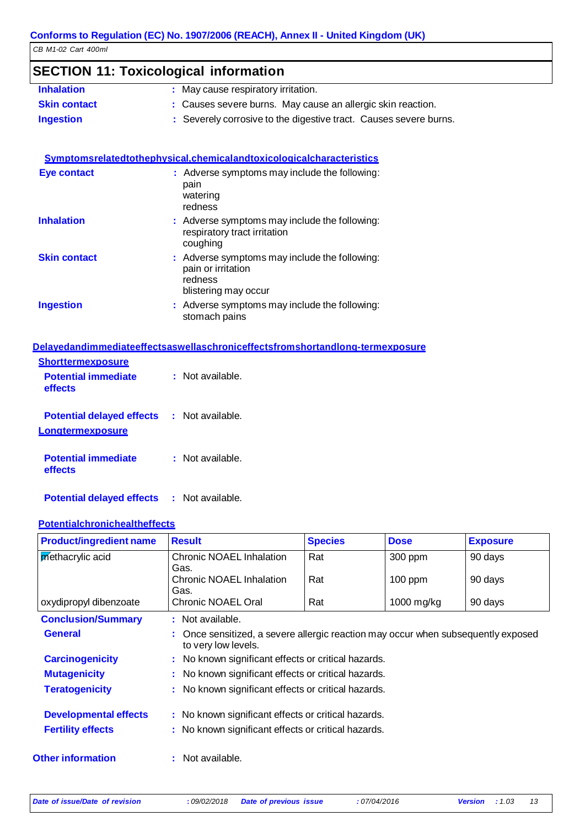*CB M1-02 Cart 400ml*

## **SECTION 11: Toxicological information**

| <b>Inhalation</b>   | : May cause respiratory irritation.                               |
|---------------------|-------------------------------------------------------------------|
| <b>Skin contact</b> | : Causes severe burns. May cause an allergic skin reaction.       |
| <b>Ingestion</b>    | : Severely corrosive to the digestive tract. Causes severe burns. |

|                     | Symptomsrelatedtothephysical, chemical and toxicological characteristics                               |
|---------------------|--------------------------------------------------------------------------------------------------------|
| <b>Eye contact</b>  | : Adverse symptoms may include the following:<br>pain<br>watering<br>redness                           |
| <b>Inhalation</b>   | : Adverse symptoms may include the following:<br>respiratory tract irritation<br>coughing              |
| <b>Skin contact</b> | : Adverse symptoms may include the following:<br>pain or irritation<br>redness<br>blistering may occur |
| <b>Ingestion</b>    | : Adverse symptoms may include the following:<br>stomach pains                                         |

|                                                                              | Delayedandimmediateeffectsaswellaschroniceffectsfromshortandlong-termexposure |  |
|------------------------------------------------------------------------------|-------------------------------------------------------------------------------|--|
| <b>Shorttermexposure</b>                                                     |                                                                               |  |
| <b>Potential immediate</b><br><b>effects</b>                                 | : Not available.                                                              |  |
| <b>Potential delayed effects : Not available.</b><br><b>Longtermexposure</b> |                                                                               |  |
| <b>Potential immediate</b><br>effects                                        | : Not available.                                                              |  |
| <b>Potential delayed effects : Not available.</b>                            |                                                                               |  |

#### **Potentialchronichealtheffects**

| <b>Product/ingredient name</b> | <b>Result</b>                                                                                          | <b>Species</b> | <b>Dose</b> | <b>Exposure</b> |
|--------------------------------|--------------------------------------------------------------------------------------------------------|----------------|-------------|-----------------|
| methacrylic acid               | Chronic NOAEL Inhalation                                                                               | Rat            | 300 ppm     | 90 days         |
|                                | Gas.<br>Chronic NOAEL Inhalation                                                                       | Rat            | $100$ ppm   | 90 days         |
|                                | Gas.                                                                                                   |                |             |                 |
| oxydipropyl dibenzoate         | Chronic NOAEL Oral                                                                                     | Rat            | 1000 mg/kg  | 90 days         |
| <b>Conclusion/Summary</b>      | : Not available.                                                                                       |                |             |                 |
| <b>General</b>                 | Once sensitized, a severe allergic reaction may occur when subsequently exposed<br>to very low levels. |                |             |                 |
| <b>Carcinogenicity</b>         | : No known significant effects or critical hazards.                                                    |                |             |                 |
| <b>Mutagenicity</b>            | : No known significant effects or critical hazards.                                                    |                |             |                 |
| <b>Teratogenicity</b>          | : No known significant effects or critical hazards.                                                    |                |             |                 |
| <b>Developmental effects</b>   | : No known significant effects or critical hazards.                                                    |                |             |                 |
| <b>Fertility effects</b>       | : No known significant effects or critical hazards.                                                    |                |             |                 |
| <b>Other information</b>       | Not available.                                                                                         |                |             |                 |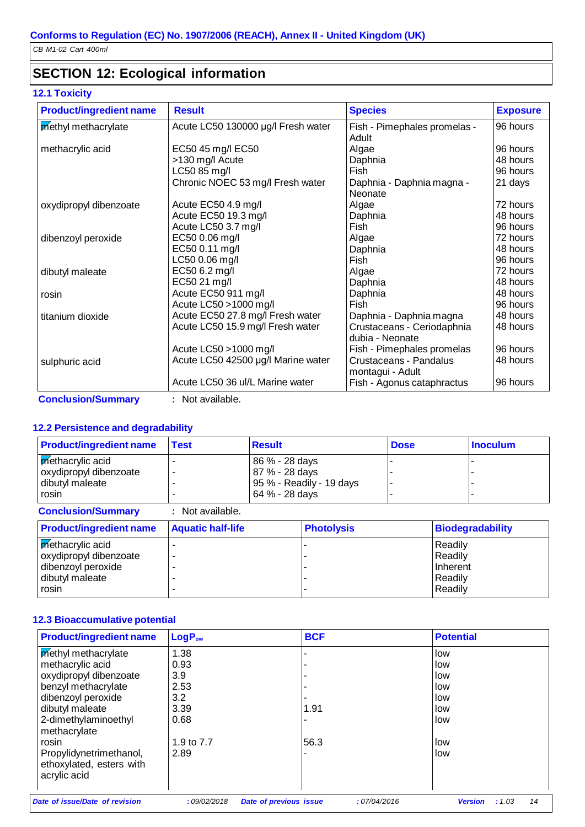*CB M1-02 Cart 400ml*

## **SECTION 12: Ecological information**

## **12.1 Toxicity**

| <b>Product/ingredient name</b> | <b>Result</b>                      | <b>Species</b>               | <b>Exposure</b> |
|--------------------------------|------------------------------------|------------------------------|-----------------|
| methyl methacrylate            | Acute LC50 130000 µg/l Fresh water | Fish - Pimephales promelas - | 96 hours        |
|                                |                                    | Adult                        |                 |
| methacrylic acid               | EC50 45 mg/l EC50                  | Algae                        | 96 hours        |
|                                | >130 mg/l Acute                    | Daphnia                      | 48 hours        |
|                                | LC50 85 mg/l                       | Fish                         | 96 hours        |
|                                | Chronic NOEC 53 mg/l Fresh water   | Daphnia - Daphnia magna -    | 21 days         |
|                                |                                    | Neonate                      |                 |
| oxydipropyl dibenzoate         | Acute EC50 4.9 mg/l                | Algae                        | 72 hours        |
|                                | Acute EC50 19.3 mg/l               | Daphnia                      | 48 hours        |
|                                | Acute LC50 3.7 mg/l                | Fish                         | 96 hours        |
| dibenzoyl peroxide             | EC50 0.06 mg/l                     | Algae                        | 72 hours        |
|                                | EC50 0.11 mg/l                     | Daphnia                      | 48 hours        |
|                                | LC50 0.06 mg/l                     | Fish                         | 96 hours        |
| dibutyl maleate                | EC50 6.2 mg/l                      | Algae                        | 72 hours        |
|                                | EC50 21 mg/l                       | Daphnia                      | 48 hours        |
| rosin                          | Acute EC50 911 mg/l                | Daphnia                      | 48 hours        |
|                                | Acute LC50 > 1000 mg/l             | <b>Fish</b>                  | 96 hours        |
| titanium dioxide               | Acute EC50 27.8 mg/l Fresh water   | Daphnia - Daphnia magna      | 48 hours        |
|                                | Acute LC50 15.9 mg/l Fresh water   | Crustaceans - Ceriodaphnia   | 48 hours        |
|                                |                                    | dubia - Neonate              |                 |
|                                | Acute LC50 > 1000 mg/l             | Fish - Pimephales promelas   | 96 hours        |
| sulphuric acid                 | Acute LC50 42500 µg/l Marine water | Crustaceans - Pandalus       | 48 hours        |
|                                |                                    | montagui - Adult             |                 |
|                                | Acute LC50 36 ul/L Marine water    | Fish - Agonus cataphractus   | 96 hours        |
| <b>Conclusion/Summary</b>      | : Not available.                   |                              |                 |

#### **12.2 Persistence and degradability**

| <b>Product/ingredient name</b> | <b>Test</b>              | <b>Result</b>  |                          | <b>Dose</b> |          | <b>Inoculum</b>         |
|--------------------------------|--------------------------|----------------|--------------------------|-------------|----------|-------------------------|
| methacrylic acid               |                          | 86 % - 28 days |                          |             |          |                         |
| oxydipropyl dibenzoate         |                          | 87 % - 28 days |                          |             |          |                         |
| dibutyl maleate                |                          |                | 95 % - Readily - 19 days |             |          |                         |
| rosin                          |                          | 64 % - 28 days |                          |             |          |                         |
| <b>Conclusion/Summary</b>      | : Not available.         |                |                          |             |          |                         |
| <b>Product/ingredient name</b> | <b>Aquatic half-life</b> |                | <b>Photolysis</b>        |             |          | <b>Biodegradability</b> |
| methacrylic acid               |                          |                |                          |             | Readily  |                         |
| oxydipropyl dibenzoate         |                          |                |                          |             | Readily  |                         |
| dibenzoyl peroxide             |                          |                |                          |             | Inherent |                         |
| dibutyl maleate                |                          |                |                          |             | Readily  |                         |
| rosin                          |                          |                |                          |             | Readily  |                         |

#### **12.3 Bioaccumulative potential**

| <b>Product/ingredient name</b>                                      | LogP <sub>ow</sub> | <b>BCF</b>             | <b>Potential</b>                       |    |
|---------------------------------------------------------------------|--------------------|------------------------|----------------------------------------|----|
| methyl methacrylate                                                 | 1.38               |                        | low                                    |    |
| methacrylic acid                                                    | 0.93               |                        | llow                                   |    |
| oxydipropyl dibenzoate                                              | 3.9                |                        | llow                                   |    |
| benzyl methacrylate                                                 | 2.53               |                        | llow                                   |    |
| dibenzoyl peroxide                                                  | 3.2                |                        | llow                                   |    |
| dibutyl maleate                                                     | 3.39               | 1.91                   | low                                    |    |
| 2-dimethylaminoethyl<br>methacrylate                                | 0.68               |                        | llow                                   |    |
| rosin                                                               | 1.9 to 7.7         | 56.3                   | low                                    |    |
| Propylidynetrimethanol,<br>ethoxylated, esters with<br>acrylic acid | 2.89               |                        | llow                                   |    |
| Date of issue/Date of revision                                      | :09/02/2018        | Date of previous issue | :07/04/2016<br><b>Version</b><br>:1.03 | 14 |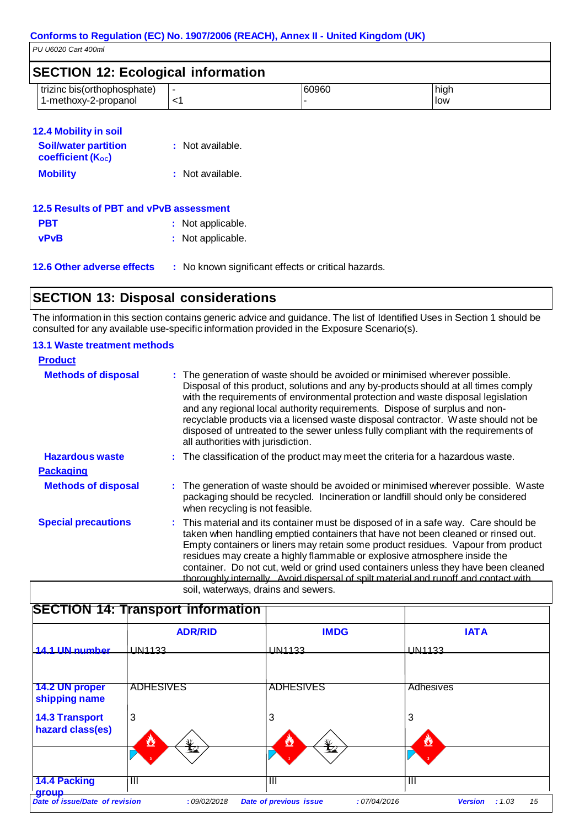| <b>SECTION 12: Ecological information</b>               |                  |            |             |  |  |  |
|---------------------------------------------------------|------------------|------------|-------------|--|--|--|
| trizinc bis(orthophosphate)<br>1-methoxy-2-propanol     | ٠<br><1          | 60960<br>۰ | high<br>low |  |  |  |
| 12.4 Mobility in soil                                   |                  |            |             |  |  |  |
| <b>Soil/water partition</b><br><b>coefficient (Koc)</b> | : Not available. |            |             |  |  |  |
| <b>Mobility</b>                                         | : Not available. |            |             |  |  |  |

| 12.5 Results of PBT and vPvB assessment |                                                     |
|-----------------------------------------|-----------------------------------------------------|
| <b>PBT</b>                              | : Not applicable.                                   |
| vPvB                                    | : Not applicable.                                   |
| 12.6 Other adverse effects              | : No known significant effects or critical hazards. |

## **SECTION 13: Disposal considerations**

The information in this section contains generic advice and guidance. The list of Identified Uses in Section 1 should be consulted for any available use-specific information provided in the Exposure Scenario(s).

#### **13.1 Waste treatment methods**

| <b>Product</b>             |                                                                                                                                                                                                                                                                                                                                                                                                                                                                                                                                                      |
|----------------------------|------------------------------------------------------------------------------------------------------------------------------------------------------------------------------------------------------------------------------------------------------------------------------------------------------------------------------------------------------------------------------------------------------------------------------------------------------------------------------------------------------------------------------------------------------|
| <b>Methods of disposal</b> | : The generation of waste should be avoided or minimised wherever possible.<br>Disposal of this product, solutions and any by-products should at all times comply<br>with the requirements of environmental protection and waste disposal legislation<br>and any regional local authority requirements. Dispose of surplus and non-<br>recyclable products via a licensed waste disposal contractor. Waste should not be<br>disposed of untreated to the sewer unless fully compliant with the requirements of<br>all authorities with jurisdiction. |
| <b>Hazardous waste</b>     | : The classification of the product may meet the criteria for a hazardous waste.                                                                                                                                                                                                                                                                                                                                                                                                                                                                     |
| <b>Packaging</b>           |                                                                                                                                                                                                                                                                                                                                                                                                                                                                                                                                                      |
| <b>Methods of disposal</b> | : The generation of waste should be avoided or minimised wherever possible. Waste<br>packaging should be recycled. Incineration or landfill should only be considered<br>when recycling is not feasible.                                                                                                                                                                                                                                                                                                                                             |
| <b>Special precautions</b> | : This material and its container must be disposed of in a safe way. Care should be<br>taken when handling emptied containers that have not been cleaned or rinsed out.<br>Empty containers or liners may retain some product residues. Vapour from product<br>residues may create a highly flammable or explosive atmosphere inside the<br>container. Do not cut, weld or grind used containers unless they have been cleaned<br>thoroughly internally. Avoid dispersal of spilt material and runoff and contact with                               |
|                            | soil, waterways, drains and sewers.                                                                                                                                                                                                                                                                                                                                                                                                                                                                                                                  |

| <b>ADR/RID</b>   | <b>IMDG</b>      | <b>IATA</b>      |
|------------------|------------------|------------------|
| <u> LIN1133 </u> | <u> LIN1133.</u> | <u> LIN1133 </u> |
| <b>ADHESIVES</b> | <b>ADHESIVES</b> | Adhesives        |
| 3                | 3                | 3<br>w           |
|                  | ☑                |                  |
| TII              | TII              | Ⅲ                |
|                  | G                | w                |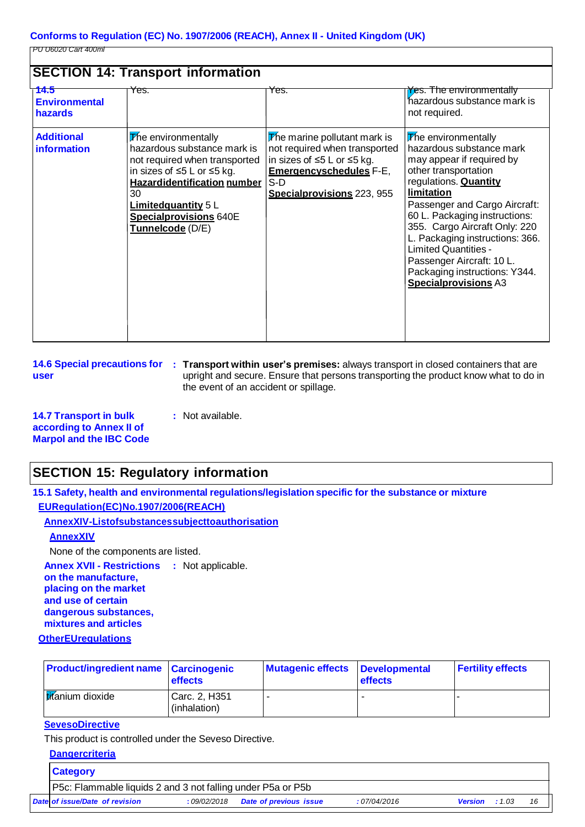| 14.5<br><b>Environmental</b><br><b>hazards</b> | Yes.                                                                                                                                                                                                                                     | Yes.                                                                                                                                                                      | Yes. The environmentally<br>hazardous substance mark is<br>not required.                                                                                                                                                                                                                                                                                                                                             |
|------------------------------------------------|------------------------------------------------------------------------------------------------------------------------------------------------------------------------------------------------------------------------------------------|---------------------------------------------------------------------------------------------------------------------------------------------------------------------------|----------------------------------------------------------------------------------------------------------------------------------------------------------------------------------------------------------------------------------------------------------------------------------------------------------------------------------------------------------------------------------------------------------------------|
| <b>Additional</b><br><b>information</b>        | The environmentally<br>hazardous substance mark is<br>not required when transported<br>in sizes of ≤5 L or ≤5 kg.<br><b>Hazardidentification number</b><br>30<br>Limitedquantity 5L<br><b>Specialprovisions 640E</b><br>Tunnelcode (D/E) | The marine pollutant mark is<br>not required when transported<br>in sizes of $\leq$ 5 L or $\leq$ 5 kg.<br>Emergencyschedules F-E,<br>$S-D$<br>Specialprovisions 223, 955 | The environmentally<br>hazardous substance mark<br>may appear if required by<br>other transportation<br>regulations. <b>Quantity</b><br>limitation<br>Passenger and Cargo Aircraft:<br>60 L. Packaging instructions:<br>355. Cargo Aircraft Only: 220<br>L. Packaging instructions: 366.<br><b>Limited Quantities -</b><br>Passenger Aircraft: 10 L.<br>Packaging instructions: Y344.<br><b>Specialprovisions A3</b> |

**14.6 Special precautions for : Transport within user's premises:** always transport in closed containers that are **user** upright and secure. Ensure that persons transporting the product know what to do in the event of an accident or spillage.

**14.7 Transport in bulk according to Annex II of Marpol and the IBC Code** **:** Not available.

## **SECTION 15: Regulatory information**

**15.1 Safety, health and environmental regulations/legislation specific for the substance or mixture**

**EURegulation(EC)No.1907/2006(REACH)**

**AnnexXIV-Listofsubstancessubjecttoauthorisation**

#### **AnnexXIV**

None of the components are listed.

**Annex XVII - Restrictions :** Not applicable. **on the manufacture, placing on the market and use of certain dangerous substances, mixtures and articles**

#### **OtherEUregulations**

| <b>Product/ingredient name Carcinogenic</b> | <b>effects</b>                | <b>Mutagenic effects</b> | Developmental<br><b>effects</b> | <b>Fertility effects</b> |
|---------------------------------------------|-------------------------------|--------------------------|---------------------------------|--------------------------|
| <b>tifanium</b> dioxide                     | Carc. 2, H351<br>(inhalation) |                          |                                 |                          |

#### **SevesoDirective**

**Dangercriteria**

This product is controlled under the Seveso Directive.

| _ _ _ _ _ _ _ _ _ _ _ _ _ _ _                               |             |                               |             |         |        |    |
|-------------------------------------------------------------|-------------|-------------------------------|-------------|---------|--------|----|
| <b>Category</b>                                             |             |                               |             |         |        |    |
| P5c: Flammable liquids 2 and 3 not falling under P5a or P5b |             |                               |             |         |        |    |
| Date of issue/Date of revision                              | :09/02/2018 | <b>Date of previous issue</b> | :07/04/2016 | Version | : 1.03 | 16 |
|                                                             |             |                               |             |         |        |    |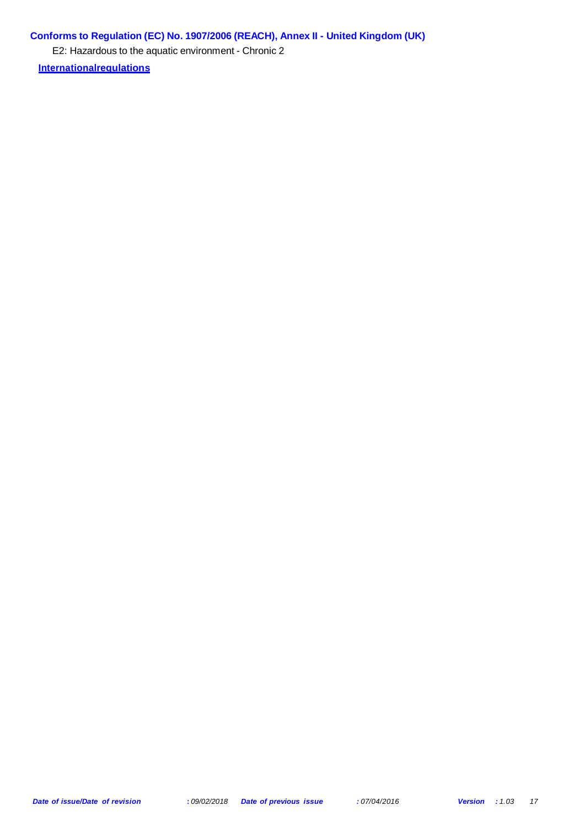E2: Hazardous to the aquatic environment - Chronic 2

**Internationalregulations**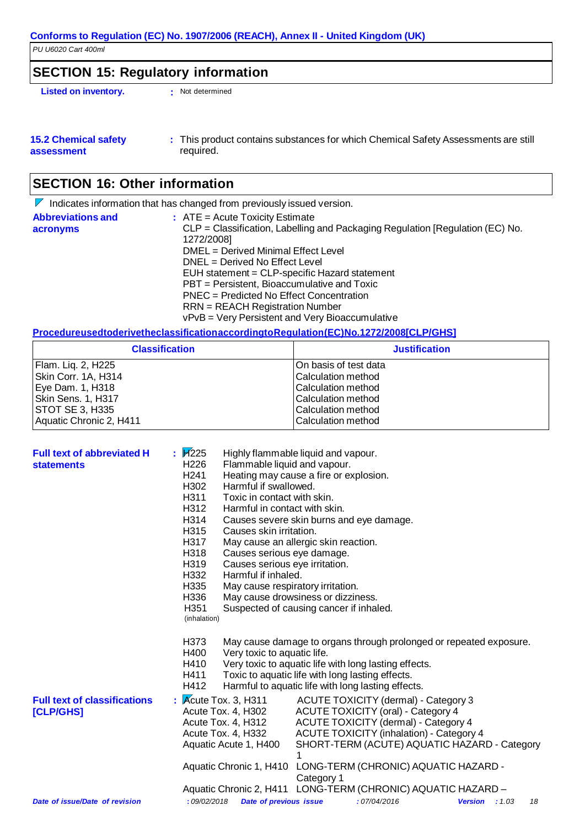|  | PU U6020 Cart 400ml |
|--|---------------------|
|--|---------------------|

## **SECTION 15: Regulatory information**

**Listed on inventory. :** Not determined

| <b>15.2 Chemical safety</b> | : This product contains substances for which Chemical Safety Assessments are still |
|-----------------------------|------------------------------------------------------------------------------------|
| assessment                  | required.                                                                          |

## **SECTION 16: Other information**

|                                      | $\nabla$ Indicates information that has changed from previously issued version.                                                                                         |
|--------------------------------------|-------------------------------------------------------------------------------------------------------------------------------------------------------------------------|
| <b>Abbreviations and</b><br>acronyms | $:$ ATE = Acute Toxicity Estimate<br>CLP = Classification, Labelling and Packaging Regulation [Regulation (EC) No.<br>1272/2008]                                        |
|                                      | DMEL = Derived Minimal Effect Level<br>$DNEL = Derived No Effect Level$<br>EUH statement = CLP-specific Hazard statement<br>PBT = Persistent, Bioaccumulative and Toxic |
|                                      | PNEC = Predicted No Effect Concentration<br>$RRN = REACH$ Registration Number<br>vPvB = Very Persistent and Very Bioaccumulative                                        |

#### **ProcedureusedtoderivetheclassificationaccordingtoRegulation(EC)No.1272/2008[CLP/GHS]**

| <b>Classification</b>   | <b>Justification</b>      |
|-------------------------|---------------------------|
| Flam. Liq. 2, H225      | On basis of test data     |
| Skin Corr. 1A, H314     | Calculation method        |
| Eye Dam. 1, H318        | Calculation method        |
| Skin Sens. 1, H317      | Calculation method        |
| STOT SE 3, H335         | <b>Calculation method</b> |
| Aquatic Chronic 2, H411 | Calculation method        |

| <b>Full text of abbreviated H</b>                                                                                         | <b>H</b> 225                                                                                                                                                              | Highly flammable liquid and vapour.                |            |                                                                    |                |        |    |  |
|---------------------------------------------------------------------------------------------------------------------------|---------------------------------------------------------------------------------------------------------------------------------------------------------------------------|----------------------------------------------------|------------|--------------------------------------------------------------------|----------------|--------|----|--|
| <b>statements</b>                                                                                                         | H <sub>226</sub>                                                                                                                                                          | Flammable liquid and vapour.                       |            |                                                                    |                |        |    |  |
|                                                                                                                           | H <sub>241</sub>                                                                                                                                                          | Heating may cause a fire or explosion.             |            |                                                                    |                |        |    |  |
|                                                                                                                           | H302<br>Harmful if swallowed.<br>H311<br>Toxic in contact with skin.<br>H312<br>Harmful in contact with skin.                                                             |                                                    |            |                                                                    |                |        |    |  |
|                                                                                                                           |                                                                                                                                                                           |                                                    |            |                                                                    |                |        |    |  |
|                                                                                                                           |                                                                                                                                                                           |                                                    |            |                                                                    |                |        |    |  |
|                                                                                                                           | H314<br>Causes severe skin burns and eye damage.<br>H315<br>Causes skin irritation.<br>H317<br>May cause an allergic skin reaction.<br>H318<br>Causes serious eye damage. |                                                    |            |                                                                    |                |        |    |  |
|                                                                                                                           |                                                                                                                                                                           |                                                    |            |                                                                    |                |        |    |  |
|                                                                                                                           |                                                                                                                                                                           |                                                    |            |                                                                    |                |        |    |  |
|                                                                                                                           |                                                                                                                                                                           |                                                    |            |                                                                    |                |        |    |  |
|                                                                                                                           | H319<br>Causes serious eye irritation.                                                                                                                                    |                                                    |            |                                                                    |                |        |    |  |
|                                                                                                                           | H332                                                                                                                                                                      | Harmful if inhaled.                                |            |                                                                    |                |        |    |  |
|                                                                                                                           | H335<br>May cause respiratory irritation.                                                                                                                                 |                                                    |            |                                                                    |                |        |    |  |
|                                                                                                                           | May cause drowsiness or dizziness.<br>H336                                                                                                                                |                                                    |            |                                                                    |                |        |    |  |
|                                                                                                                           | H351<br>Suspected of causing cancer if inhaled.                                                                                                                           |                                                    |            |                                                                    |                |        |    |  |
|                                                                                                                           | (inhalation)                                                                                                                                                              |                                                    |            |                                                                    |                |        |    |  |
|                                                                                                                           | H373                                                                                                                                                                      |                                                    |            | May cause damage to organs through prolonged or repeated exposure. |                |        |    |  |
|                                                                                                                           | H400<br>Very toxic to aquatic life.                                                                                                                                       |                                                    |            |                                                                    |                |        |    |  |
| H410<br>Very toxic to aquatic life with long lasting effects.<br>Toxic to aquatic life with long lasting effects.<br>H411 |                                                                                                                                                                           |                                                    |            |                                                                    |                |        |    |  |
|                                                                                                                           |                                                                                                                                                                           |                                                    |            |                                                                    |                |        |    |  |
|                                                                                                                           | H412                                                                                                                                                                      | Harmful to aquatic life with long lasting effects. |            |                                                                    |                |        |    |  |
| <b>Full text of classifications</b>                                                                                       |                                                                                                                                                                           | $\frac{1}{2}$ <i>Acute Tox.</i> 3, H311            |            | <b>ACUTE TOXICITY (dermal) - Category 3</b>                        |                |        |    |  |
| [CLP/GHS]                                                                                                                 |                                                                                                                                                                           | Acute Tox. 4, H302                                 |            | <b>ACUTE TOXICITY (oral) - Category 4</b>                          |                |        |    |  |
|                                                                                                                           |                                                                                                                                                                           | Acute Tox. 4, H312                                 |            | <b>ACUTE TOXICITY (dermal) - Category 4</b>                        |                |        |    |  |
|                                                                                                                           |                                                                                                                                                                           | Acute Tox. 4, H332                                 |            | <b>ACUTE TOXICITY (inhalation) - Category 4</b>                    |                |        |    |  |
|                                                                                                                           |                                                                                                                                                                           | Aquatic Acute 1, H400                              |            | SHORT-TERM (ACUTE) AQUATIC HAZARD - Category                       |                |        |    |  |
|                                                                                                                           |                                                                                                                                                                           |                                                    | 1          |                                                                    |                |        |    |  |
|                                                                                                                           |                                                                                                                                                                           | Aquatic Chronic 1, H410                            |            | LONG-TERM (CHRONIC) AQUATIC HAZARD -                               |                |        |    |  |
|                                                                                                                           |                                                                                                                                                                           |                                                    | Category 1 |                                                                    |                |        |    |  |
|                                                                                                                           |                                                                                                                                                                           |                                                    |            | Aquatic Chronic 2, H411 LONG-TERM (CHRONIC) AQUATIC HAZARD -       |                |        |    |  |
| Date of issue/Date of revision                                                                                            | : 09/02/2018                                                                                                                                                              | Date of previous issue                             |            | :07/04/2016                                                        | <b>Version</b> | : 1.03 | 18 |  |